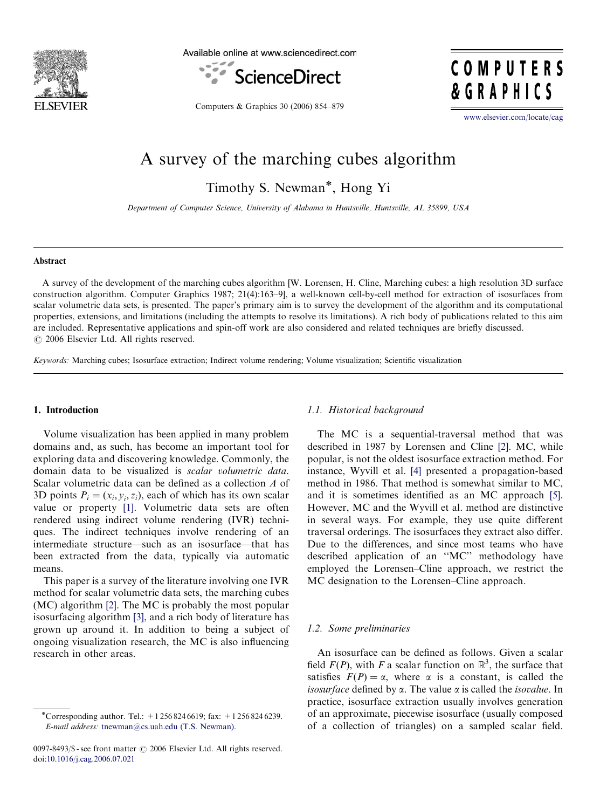

Available online at www.sciencedirect.com



COMPUTERS & GRAPHICS

Computers & Graphics 30 (2006) 854–879

<www.elsevier.com/locate/cag>

# A survey of the marching cubes algorithm

Timothy S. Newman\*, Hong Yi

Department of Computer Science, University of Alabama in Huntsville, Huntsville, AL 35899, USA

#### Abstract

A survey of the development of the marching cubes algorithm [W. Lorensen, H. Cline, Marching cubes: a high resolution 3D surface construction algorithm. Computer Graphics 1987; 21(4):163–9], a well-known cell-by-cell method for extraction of isosurfaces from scalar volumetric data sets, is presented. The paper's primary aim is to survey the development of the algorithm and its computational properties, extensions, and limitations (including the attempts to resolve its limitations). A rich body of publications related to this aim are included. Representative applications and spin-off work are also considered and related techniques are briefly discussed.  $\odot$  2006 Elsevier Ltd. All rights reserved.

Keywords: Marching cubes; Isosurface extraction; Indirect volume rendering; Volume visualization; Scientific visualization

# 1. Introduction

Volume visualization has been applied in many problem domains and, as such, has become an important tool for exploring data and discovering knowledge. Commonly, the domain data to be visualized is scalar volumetric data. Scalar volumetric data can be defined as a collection A of 3D points  $P_i = (x_i, y_i, z_i)$ , each of which has its own scalar value or property [\[1\]](#page-20-0). Volumetric data sets are often rendered using indirect volume rendering (IVR) techniques. The indirect techniques involve rendering of an intermediate structure—such as an isosurface—that has been extracted from the data, typically via automatic means.

This paper is a survey of the literature involving one IVR method for scalar volumetric data sets, the marching cubes (MC) algorithm [\[2\]](#page-20-0). The MC is probably the most popular isosurfacing algorithm [\[3\]](#page-20-0), and a rich body of literature has grown up around it. In addition to being a subject of ongoing visualization research, the MC is also influencing research in other areas.

# 1.1. Historical background

The MC is a sequential-traversal method that was described in 1987 by Lorensen and Cline [\[2\]](#page-20-0). MC, while popular, is not the oldest isosurface extraction method. For instance, Wyvill et al. [\[4\]](#page-20-0) presented a propagation-based method in 1986. That method is somewhat similar to MC, and it is sometimes identified as an MC approach [\[5\]](#page-20-0). However, MC and the Wyvill et al. method are distinctive in several ways. For example, they use quite different traversal orderings. The isosurfaces they extract also differ. Due to the differences, and since most teams who have described application of an ''MC'' methodology have employed the Lorensen–Cline approach, we restrict the MC designation to the Lorensen–Cline approach.

# 1.2. Some preliminaries

An isosurface can be defined as follows. Given a scalar field  $F(P)$ , with F a scalar function on  $\mathbb{R}^3$ , the surface that satisfies  $F(P) = \alpha$ , where  $\alpha$  is a constant, is called the *isosurface* defined by  $\alpha$ . The value  $\alpha$  is called the *isovalue*. In practice, isosurface extraction usually involves generation of an approximate, piecewise isosurface (usually composed of a collection of triangles) on a sampled scalar field.

<sup>\*</sup>Corresponding author. Tel.:  $+12568246619$ ; fax:  $+12568246239$ . E-mail address: [tnewman@cs.uah.edu \(T.S. Newman\).](mailto:tnewman@cs.uah.edu)

<sup>0097-8493/\$ -</sup> see front matter © 2006 Elsevier Ltd. All rights reserved. doi:[10.1016/j.cag.2006.07.021](dx.doi.org/10.1016/j.cag.2006.07.021)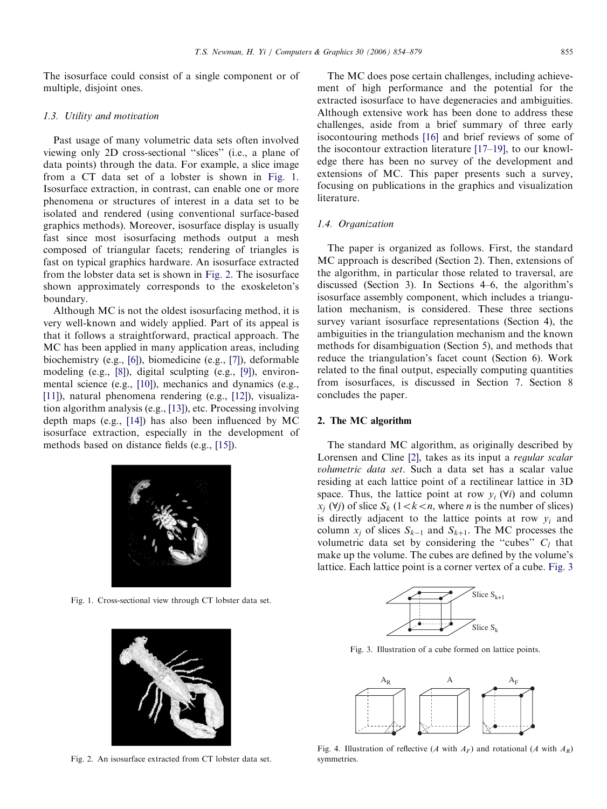<span id="page-1-0"></span>The isosurface could consist of a single component or of multiple, disjoint ones.

## 1.3. Utility and motivation

Past usage of many volumetric data sets often involved viewing only 2D cross-sectional ''slices'' (i.e., a plane of data points) through the data. For example, a slice image from a CT data set of a lobster is shown in Fig. 1. Isosurface extraction, in contrast, can enable one or more phenomena or structures of interest in a data set to be isolated and rendered (using conventional surface-based graphics methods). Moreover, isosurface display is usually fast since most isosurfacing methods output a mesh composed of triangular facets; rendering of triangles is fast on typical graphics hardware. An isosurface extracted from the lobster data set is shown in Fig. 2. The isosurface shown approximately corresponds to the exoskeleton's boundary.

Although MC is not the oldest isosurfacing method, it is very well-known and widely applied. Part of its appeal is that it follows a straightforward, practical approach. The MC has been applied in many application areas, including biochemistry (e.g., [\[6\]\)](#page-20-0), biomedicine (e.g., [\[7\]\)](#page-20-0), deformable modeling (e.g., [\[8\]](#page-20-0)), digital sculpting (e.g., [\[9\]\)](#page-21-0), environmental science (e.g., [\[10\]\)](#page-21-0), mechanics and dynamics (e.g., [\[11\]\)](#page-21-0), natural phenomena rendering (e.g., [\[12\]](#page-21-0)), visualization algorithm analysis (e.g., [\[13\]\)](#page-21-0), etc. Processing involving depth maps (e.g., [\[14\]\)](#page-21-0) has also been influenced by MC isosurface extraction, especially in the development of methods based on distance fields (e.g., [\[15\]\)](#page-21-0).



Fig. 1. Cross-sectional view through CT lobster data set.



Fig. 2. An isosurface extracted from CT lobster data set.

The MC does pose certain challenges, including achievement of high performance and the potential for the extracted isosurface to have degeneracies and ambiguities. Although extensive work has been done to address these challenges, aside from a brief summary of three early isocontouring methods [\[16\]](#page-21-0) and brief reviews of some of the isocontour extraction literature [\[17–19\]](#page-21-0), to our knowledge there has been no survey of the development and extensions of MC. This paper presents such a survey, focusing on publications in the graphics and visualization literature.

## 1.4. Organization

The paper is organized as follows. First, the standard MC approach is described (Section 2). Then, extensions of the algorithm, in particular those related to traversal, are discussed (Section 3). In Sections 4–6, the algorithm's isosurface assembly component, which includes a triangulation mechanism, is considered. These three sections survey variant isosurface representations (Section 4), the ambiguities in the triangulation mechanism and the known methods for disambiguation (Section 5), and methods that reduce the triangulation's facet count (Section 6). Work related to the final output, especially computing quantities from isosurfaces, is discussed in Section 7. Section 8 concludes the paper.

# 2. The MC algorithm

The standard MC algorithm, as originally described by Lorensen and Cline [\[2\]](#page-20-0), takes as its input a regular scalar volumetric data set. Such a data set has a scalar value residing at each lattice point of a rectilinear lattice in 3D space. Thus, the lattice point at row  $y_i$   $(\forall i)$  and column  $x_i$  ( $\forall j$ ) of slice  $S_k$  (1 < k < n, where n is the number of slices) is directly adjacent to the lattice points at row  $y_i$  and column  $x_i$  of slices  $S_{k-1}$  and  $S_{k+1}$ . The MC processes the volumetric data set by considering the "cubes"  $C_l$  that make up the volume. The cubes are defined by the volume's lattice. Each lattice point is a corner vertex of a cube. Fig. 3



Fig. 3. Illustration of a cube formed on lattice points.



Fig. 4. Illustration of reflective (A with  $A_F$ ) and rotational (A with  $A_R$ ) symmetries.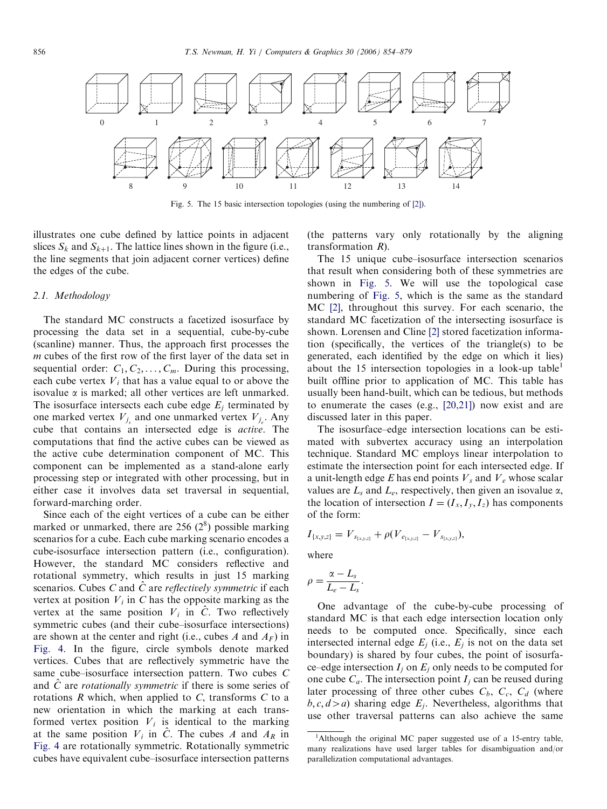

Fig. 5. The 15 basic intersection topologies (using the numbering of [\[2\]](#page-20-0)).

illustrates one cube defined by lattice points in adjacent slices  $S_k$  and  $S_{k+1}$ . The lattice lines shown in the figure (i.e., the line segments that join adjacent corner vertices) define the edges of the cube.

## 2.1. Methodology

The standard MC constructs a facetized isosurface by processing the data set in a sequential, cube-by-cube (scanline) manner. Thus, the approach first processes the m cubes of the first row of the first layer of the data set in sequential order:  $C_1, C_2, \ldots, C_m$ . During this processing, each cube vertex  $V_i$  that has a value equal to or above the isovalue  $\alpha$  is marked; all other vertices are left unmarked. The isosurface intersects each cube edge  $E_i$  terminated by one marked vertex  $V_{j_s}$  and one unmarked vertex  $V_{j_e}$ . Any cube that contains an intersected edge is active. The computations that find the active cubes can be viewed as the active cube determination component of MC. This component can be implemented as a stand-alone early processing step or integrated with other processing, but in either case it involves data set traversal in sequential, forward-marching order.

Since each of the eight vertices of a cube can be either marked or unmarked, there are 256  $(2^8)$  possible marking scenarios for a cube. Each cube marking scenario encodes a cube-isosurface intersection pattern (i.e., configuration). However, the standard MC considers reflective and rotational symmetry, which results in just 15 marking scenarios. Cubes  $C$  and  $\tilde{C}$  are reflectively symmetric if each vertex at position  $V_i$  in C has the opposite marking as the vertex at the same position  $V_i$  in  $\tilde{C}$ . Two reflectively symmetric cubes (and their cube–isosurface intersections) are shown at the center and right (i.e., cubes A and  $A_F$ ) in [Fig. 4](#page-1-0). In the figure, circle symbols denote marked vertices. Cubes that are reflectively symmetric have the same cube–isosurface intersection pattern. Two cubes C and  $\ddot{C}$  are *rotationally symmetric* if there is some series of rotations  $R$  which, when applied to  $C$ , transforms  $C$  to a new orientation in which the marking at each transformed vertex position  $V_i$  is identical to the marking at the same position  $V_i$  in C. The cubes A and  $A_R$  in [Fig. 4](#page-1-0) are rotationally symmetric. Rotationally symmetric cubes have equivalent cube–isosurface intersection patterns

(the patterns vary only rotationally by the aligning transformation R).

The 15 unique cube–isosurface intersection scenarios that result when considering both of these symmetries are shown in Fig. 5. We will use the topological case numbering of Fig. 5, which is the same as the standard MC [\[2\]](#page-20-0), throughout this survey. For each scenario, the standard MC facetization of the intersecting isosurface is shown. Lorensen and Cline [\[2\]](#page-20-0) stored facetization information (specifically, the vertices of the triangle(s) to be generated, each identified by the edge on which it lies) about the 15 intersection topologies in a look-up table built offline prior to application of MC. This table has usually been hand-built, which can be tedious, but methods to enumerate the cases (e.g., [\[20,21\]](#page-21-0)) now exist and are discussed later in this paper.

The isosurface–edge intersection locations can be estimated with subvertex accuracy using an interpolation technique. Standard MC employs linear interpolation to estimate the intersection point for each intersected edge. If a unit-length edge E has end points  $V_s$  and  $V_e$  whose scalar values are  $L_s$  and  $L_e$ , respectively, then given an isovalue  $\alpha$ , the location of intersection  $I = (I_x, I_y, I_z)$  has components of the form:

$$
I_{\{x,y,z\}}=V_{s_{\{x,y,z\}}}+\rho(V_{e_{\{x,y,z\}}}-V_{s_{\{x,y,z\}}}),
$$

where

$$
\rho=\frac{\alpha-L_s}{L_e-L_s}.
$$

One advantage of the cube-by-cube processing of standard MC is that each edge intersection location only needs to be computed once. Specifically, since each intersected internal edge  $E_i$  (i.e.,  $E_i$  is not on the data set boundary) is shared by four cubes, the point of isosurface–edge intersection  $I_i$  on  $E_i$  only needs to be computed for one cube  $C_a$ . The intersection point  $I_j$  can be reused during later processing of three other cubes  $C_b$ ,  $C_c$ ,  $C_d$  (where  $b, c, d > a$ ) sharing edge  $E_i$ . Nevertheless, algorithms that use other traversal patterns can also achieve the same

<sup>&</sup>lt;sup>1</sup>Although the original MC paper suggested use of a 15-entry table, many realizations have used larger tables for disambiguation and/or parallelization computational advantages.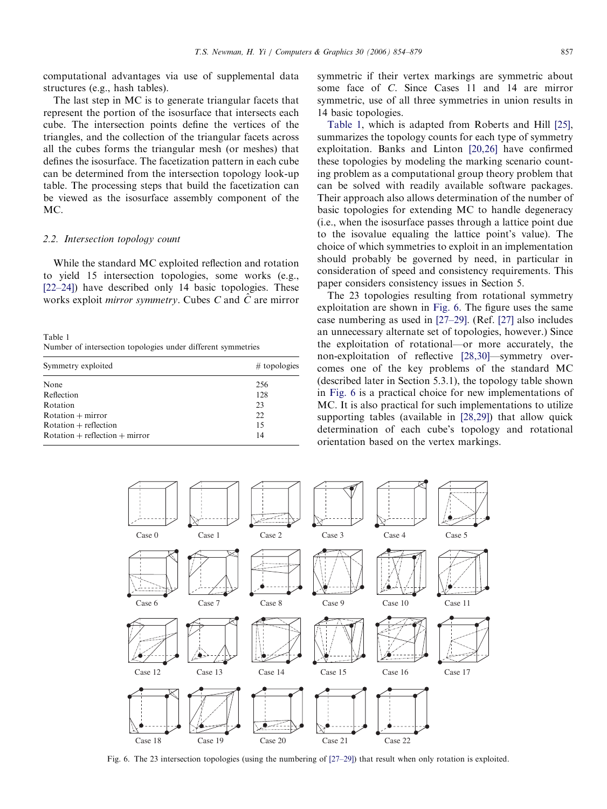<span id="page-3-0"></span>computational advantages via use of supplemental data structures (e.g., hash tables).

The last step in MC is to generate triangular facets that represent the portion of the isosurface that intersects each cube. The intersection points define the vertices of the triangles, and the collection of the triangular facets across all the cubes forms the triangular mesh (or meshes) that defines the isosurface. The facetization pattern in each cube can be determined from the intersection topology look-up table. The processing steps that build the facetization can be viewed as the isosurface assembly component of the MC.

## 2.2. Intersection topology count

While the standard MC exploited reflection and rotation to yield 15 intersection topologies, some works (e.g., [\[22–24\]\)](#page-21-0) have described only 14 basic topologies. These works exploit *mirror symmetry*. Cubes C and  $\hat{C}$  are mirror

Table 1 Number of intersection topologies under different symmetries

| Symmetry exploited               | $\#$ topologies |  |
|----------------------------------|-----------------|--|
| None                             | 256             |  |
| Reflection                       | 128             |  |
| Rotation                         | 23              |  |
| $Rotation + mirror$              | 22              |  |
| $Rotation + reflection$          | 15              |  |
| $Rotation + reflection + mirror$ | 14              |  |

symmetric if their vertex markings are symmetric about some face of C. Since Cases 11 and 14 are mirror symmetric, use of all three symmetries in union results in 14 basic topologies.

Table 1, which is adapted from Roberts and Hill [\[25\],](#page-21-0) summarizes the topology counts for each type of symmetry exploitation. Banks and Linton [\[20,26\]](#page-21-0) have confirmed these topologies by modeling the marking scenario counting problem as a computational group theory problem that can be solved with readily available software packages. Their approach also allows determination of the number of basic topologies for extending MC to handle degeneracy (i.e., when the isosurface passes through a lattice point due to the isovalue equaling the lattice point's value). The choice of which symmetries to exploit in an implementation should probably be governed by need, in particular in consideration of speed and consistency requirements. This paper considers consistency issues in Section 5.

The 23 topologies resulting from rotational symmetry exploitation are shown in Fig. 6. The figure uses the same case numbering as used in [\[27–29\]](#page-21-0). (Ref. [\[27\]](#page-21-0) also includes an unnecessary alternate set of topologies, however.) Since the exploitation of rotational—or more accurately, the non-exploitation of reflective [\[28,30\]—](#page-21-0)symmetry overcomes one of the key problems of the standard MC (described later in Section 5.3.1), the topology table shown in Fig. 6 is a practical choice for new implementations of MC. It is also practical for such implementations to utilize supporting tables (available in [\[28,29\]](#page-21-0)) that allow quick determination of each cube's topology and rotational orientation based on the vertex markings.



Fig. 6. The 23 intersection topologies (using the numbering of [\[27–29\]](#page-21-0)) that result when only rotation is exploited.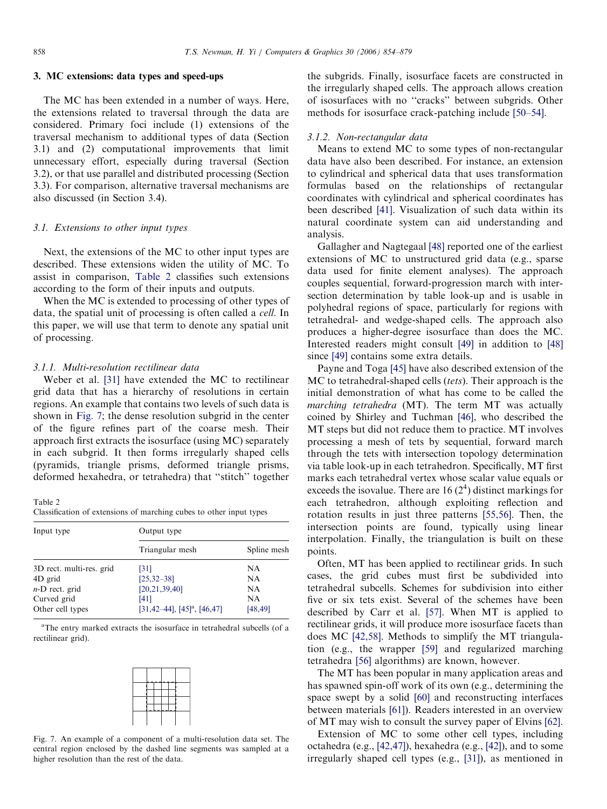## 3. MC extensions: data types and speed-ups

The MC has been extended in a number of ways. Here, the extensions related to traversal through the data are considered. Primary foci include (1) extensions of the traversal mechanism to additional types of data (Section 3.1) and (2) computational improvements that limit unnecessary effort, especially during traversal (Section 3.2), or that use parallel and distributed processing (Section 3.3). For comparison, alternative traversal mechanisms are also discussed (in Section 3.4).

# 3.1. Extensions to other input types

Next, the extensions of the MC to other input types are described. These extensions widen the utility of MC. To assist in comparison, Table 2 classifies such extensions according to the form of their inputs and outputs.

When the MC is extended to processing of other types of data, the spatial unit of processing is often called a cell. In this paper, we will use that term to denote any spatial unit of processing.

#### 3.1.1. Multi-resolution rectilinear data

Weber et al. [\[31\]](#page-21-0) have extended the MC to rectilinear grid data that has a hierarchy of resolutions in certain regions. An example that contains two levels of such data is shown in Fig. 7; the dense resolution subgrid in the center of the figure refines part of the coarse mesh. Their approach first extracts the isosurface (using MC) separately in each subgrid. It then forms irregularly shaped cells (pyramids, triangle prisms, deformed triangle prisms, deformed hexahedra, or tetrahedra) that ''stitch'' together

Table 2

Classification of extensions of marching cubes to other input types

| Input type               | Output type                                      |             |  |  |
|--------------------------|--------------------------------------------------|-------------|--|--|
|                          | Triangular mesh                                  | Spline mesh |  |  |
| 3D rect. multi-res. grid | [31]                                             | NA          |  |  |
| 4D grid                  | $[25, 32 - 38]$                                  | NA.         |  |  |
| $n$ -D rect. grid        | [20, 21, 39, 40]                                 | NA          |  |  |
| Curved grid              | [41]                                             | NA          |  |  |
| Other cell types         | $[31, 42-44]$ , $[45]$ <sup>a</sup> , $[46, 47]$ | [48, 49]    |  |  |

<sup>a</sup>The entry marked extracts the isosurface in tetrahedral subcells (of a rectilinear grid).



Fig. 7. An example of a component of a multi-resolution data set. The central region enclosed by the dashed line segments was sampled at a higher resolution than the rest of the data.

the subgrids. Finally, isosurface facets are constructed in the irregularly shaped cells. The approach allows creation of isosurfaces with no ''cracks'' between subgrids. Other methods for isosurface crack-patching include [\[50–54\].](#page-21-0)

## 3.1.2. Non-rectangular data

Means to extend MC to some types of non-rectangular data have also been described. For instance, an extension to cylindrical and spherical data that uses transformation formulas based on the relationships of rectangular coordinates with cylindrical and spherical coordinates has been described [\[41\]](#page-21-0). Visualization of such data within its natural coordinate system can aid understanding and analysis.

Gallagher and Nagtegaal [\[48\]](#page-21-0) reported one of the earliest extensions of MC to unstructured grid data (e.g., sparse data used for finite element analyses). The approach couples sequential, forward-progression march with intersection determination by table look-up and is usable in polyhedral regions of space, particularly for regions with tetrahedral- and wedge-shaped cells. The approach also produces a higher-degree isosurface than does the MC. Interested readers might consult [\[49\]](#page-21-0) in addition to [\[48\]](#page-21-0) since [\[49\]](#page-21-0) contains some extra details.

Payne and Toga [\[45\]](#page-21-0) have also described extension of the MC to tetrahedral-shaped cells *(tets)*. Their approach is the initial demonstration of what has come to be called the marching tetrahedra (MT). The term MT was actually coined by Shirley and Tuchman [\[46\],](#page-21-0) who described the MT steps but did not reduce them to practice. MT involves processing a mesh of tets by sequential, forward march through the tets with intersection topology determination via table look-up in each tetrahedron. Specifically, MT first marks each tetrahedral vertex whose scalar value equals or exceeds the isovalue. There are  $16(2<sup>4</sup>)$  distinct markings for each tetrahedron, although exploiting reflection and rotation results in just three patterns [\[55,56\]](#page-21-0). Then, the intersection points are found, typically using linear interpolation. Finally, the triangulation is built on these points.

Often, MT has been applied to rectilinear grids. In such cases, the grid cubes must first be subdivided into tetrahedral subcells. Schemes for subdivision into either five or six tets exist. Several of the schemes have been described by Carr et al. [\[57\].](#page-22-0) When MT is applied to rectilinear grids, it will produce more isosurface facets than does MC [\[42,58\].](#page-21-0) Methods to simplify the MT triangulation (e.g., the wrapper [\[59\]](#page-22-0) and regularized marching tetrahedra [\[56\]](#page-22-0) algorithms) are known, however.

The MT has been popular in many application areas and has spawned spin-off work of its own (e.g., determining the space swept by a solid [\[60\]](#page-22-0) and reconstructing interfaces between materials [\[61\]](#page-22-0)). Readers interested in an overview of MT may wish to consult the survey paper of Elvins [\[62\]](#page-22-0).

Extension of MC to some other cell types, including octahedra (e.g., [\[42,47\]](#page-21-0)), hexahedra (e.g., [\[42\]](#page-21-0)), and to some irregularly shaped cell types (e.g., [\[31\]](#page-21-0)), as mentioned in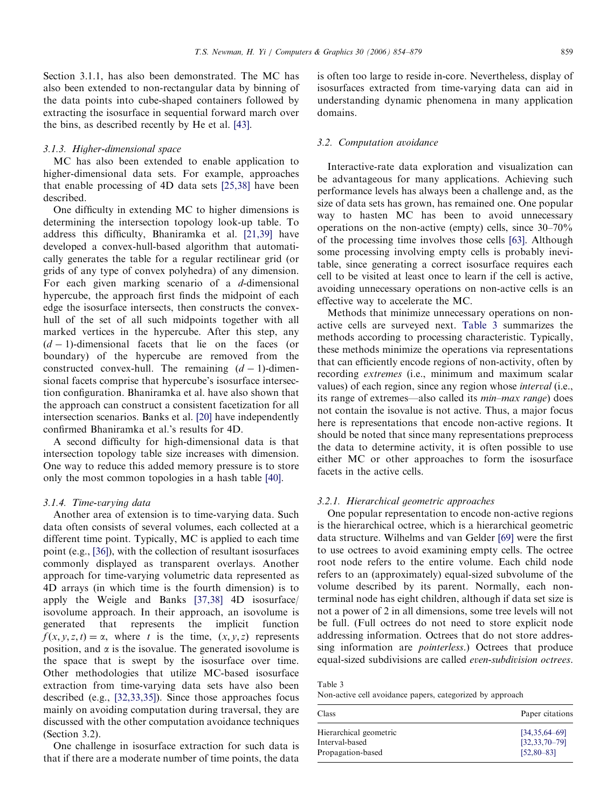Section 3.1.1, has also been demonstrated. The MC has also been extended to non-rectangular data by binning of the data points into cube-shaped containers followed by extracting the isosurface in sequential forward march over the bins, as described recently by He et al. [\[43\].](#page-21-0)

## 3.1.3. Higher-dimensional space

MC has also been extended to enable application to higher-dimensional data sets. For example, approaches that enable processing of 4D data sets [\[25,38\]](#page-21-0) have been described.

One difficulty in extending MC to higher dimensions is determining the intersection topology look-up table. To address this difficulty, Bhaniramka et al. [\[21,39\]](#page-21-0) have developed a convex-hull-based algorithm that automatically generates the table for a regular rectilinear grid (or grids of any type of convex polyhedra) of any dimension. For each given marking scenario of a d-dimensional hypercube, the approach first finds the midpoint of each edge the isosurface intersects, then constructs the convexhull of the set of all such midpoints together with all marked vertices in the hypercube. After this step, any  $(d-1)$ -dimensional facets that lie on the faces (or boundary) of the hypercube are removed from the constructed convex-hull. The remaining  $(d-1)$ -dimensional facets comprise that hypercube's isosurface intersection configuration. Bhaniramka et al. have also shown that the approach can construct a consistent facetization for all intersection scenarios. Banks et al. [\[20\]](#page-21-0) have independently confirmed Bhaniramka et al.'s results for 4D.

A second difficulty for high-dimensional data is that intersection topology table size increases with dimension. One way to reduce this added memory pressure is to store only the most common topologies in a hash table [\[40\].](#page-21-0)

#### 3.1.4. Time-varying data

Another area of extension is to time-varying data. Such data often consists of several volumes, each collected at a different time point. Typically, MC is applied to each time point (e.g., [\[36\]](#page-21-0)), with the collection of resultant isosurfaces commonly displayed as transparent overlays. Another approach for time-varying volumetric data represented as 4D arrays (in which time is the fourth dimension) is to apply the Weigle and Banks [\[37,38\]](#page-21-0) 4D isosurface/ isovolume approach. In their approach, an isovolume is generated that represents the implicit function  $f(x, y, z, t) = \alpha$ , where t is the time,  $(x, y, z)$  represents position, and  $\alpha$  is the isovalue. The generated isovolume is the space that is swept by the isosurface over time. Other methodologies that utilize MC-based isosurface extraction from time-varying data sets have also been described (e.g., [\[32,33,35\]](#page-21-0)). Since those approaches focus mainly on avoiding computation during traversal, they are discussed with the other computation avoidance techniques (Section 3.2).

One challenge in isosurface extraction for such data is that if there are a moderate number of time points, the data

is often too large to reside in-core. Nevertheless, display of isosurfaces extracted from time-varying data can aid in understanding dynamic phenomena in many application domains.

## 3.2. Computation avoidance

Interactive-rate data exploration and visualization can be advantageous for many applications. Achieving such performance levels has always been a challenge and, as the size of data sets has grown, has remained one. One popular way to hasten MC has been to avoid unnecessary operations on the non-active (empty) cells, since 30–70% of the processing time involves those cells [\[63\]](#page-22-0). Although some processing involving empty cells is probably inevitable, since generating a correct isosurface requires each cell to be visited at least once to learn if the cell is active, avoiding unnecessary operations on non-active cells is an effective way to accelerate the MC.

Methods that minimize unnecessary operations on nonactive cells are surveyed next. Table 3 summarizes the methods according to processing characteristic. Typically, these methods minimize the operations via representations that can efficiently encode regions of non-activity, often by recording extremes (i.e., minimum and maximum scalar values) of each region, since any region whose interval (i.e., its range of extremes—also called its min–max range) does not contain the isovalue is not active. Thus, a major focus here is representations that encode non-active regions. It should be noted that since many representations preprocess the data to determine activity, it is often possible to use either MC or other approaches to form the isosurface facets in the active cells.

## 3.2.1. Hierarchical geometric approaches

One popular representation to encode non-active regions is the hierarchical octree, which is a hierarchical geometric data structure. Wilhelms and van Gelder [\[69\]](#page-22-0) were the first to use octrees to avoid examining empty cells. The octree root node refers to the entire volume. Each child node refers to an (approximately) equal-sized subvolume of the volume described by its parent. Normally, each nonterminal node has eight children, although if data set size is not a power of 2 in all dimensions, some tree levels will not be full. (Full octrees do not need to store explicit node addressing information. Octrees that do not store addressing information are pointerless.) Octrees that produce equal-sized subdivisions are called even-subdivision octrees.

Table 3

Non-active cell avoidance papers, categorized by approach

| <b>Class</b>           | Paper citations     |  |
|------------------------|---------------------|--|
| Hierarchical geometric | $[34,35,64-69]$     |  |
| Interval-based         | $[32, 33, 70 - 79]$ |  |
| Propagation-based      | $[52,80-83]$        |  |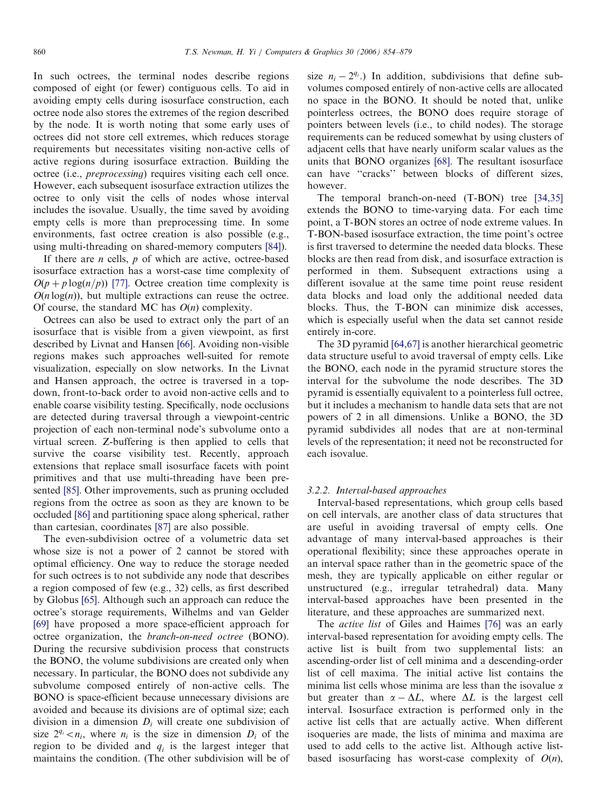In such octrees, the terminal nodes describe regions composed of eight (or fewer) contiguous cells. To aid in avoiding empty cells during isosurface construction, each octree node also stores the extremes of the region described by the node. It is worth noting that some early uses of octrees did not store cell extremes, which reduces storage requirements but necessitates visiting non-active cells of active regions during isosurface extraction. Building the octree (i.e., preprocessing) requires visiting each cell once. However, each subsequent isosurface extraction utilizes the octree to only visit the cells of nodes whose interval includes the isovalue. Usually, the time saved by avoiding empty cells is more than preprocessing time. In some environments, fast octree creation is also possible (e.g., using multi-threading on shared-memory computers [\[84\]\)](#page-22-0).

If there are  $n$  cells,  $p$  of which are active, octree-based isosurface extraction has a worst-case time complexity of  $O(p + p \log(n/p))$  [\[77\]](#page-22-0). Octree creation time complexity is  $O(n \log(n))$ , but multiple extractions can reuse the octree. Of course, the standard MC has  $O(n)$  complexity.

Octrees can also be used to extract only the part of an isosurface that is visible from a given viewpoint, as first described by Livnat and Hansen [\[66\]](#page-22-0). Avoiding non-visible regions makes such approaches well-suited for remote visualization, especially on slow networks. In the Livnat and Hansen approach, the octree is traversed in a topdown, front-to-back order to avoid non-active cells and to enable coarse visibility testing. Specifically, node occlusions are detected during traversal through a viewpoint-centric projection of each non-terminal node's subvolume onto a virtual screen. Z-buffering is then applied to cells that survive the coarse visibility test. Recently, approach extensions that replace small isosurface facets with point primitives and that use multi-threading have been presented [\[85\].](#page-22-0) Other improvements, such as pruning occluded regions from the octree as soon as they are known to be occluded [\[86\]](#page-22-0) and partitioning space along spherical, rather than cartesian, coordinates [\[87\]](#page-22-0) are also possible.

The even-subdivision octree of a volumetric data set whose size is not a power of 2 cannot be stored with optimal efficiency. One way to reduce the storage needed for such octrees is to not subdivide any node that describes a region composed of few (e.g., 32) cells, as first described by Globus [\[65\]](#page-22-0). Although such an approach can reduce the octree's storage requirements, Wilhelms and van Gelder [\[69\]](#page-22-0) have proposed a more space-efficient approach for octree organization, the branch-on-need octree (BONO). During the recursive subdivision process that constructs the BONO, the volume subdivisions are created only when necessary. In particular, the BONO does not subdivide any subvolume composed entirely of non-active cells. The BONO is space-efficient because unnecessary divisions are avoided and because its divisions are of optimal size; each division in a dimension  $D_i$  will create one subdivision of size  $2^{q_i} < n_i$ , where  $n_i$  is the size in dimension  $D_i$  of the region to be divided and  $q_i$  is the largest integer that maintains the condition. (The other subdivision will be of size  $n_i - 2^{q_i}$ .) In addition, subdivisions that define subvolumes composed entirely of non-active cells are allocated no space in the BONO. It should be noted that, unlike pointerless octrees, the BONO does require storage of pointers between levels (i.e., to child nodes). The storage requirements can be reduced somewhat by using clusters of adjacent cells that have nearly uniform scalar values as the units that BONO organizes [\[68\].](#page-22-0) The resultant isosurface can have ''cracks'' between blocks of different sizes, however.

The temporal branch-on-need (T-BON) tree [\[34,35\]](#page-21-0) extends the BONO to time-varying data. For each time point, a T-BON stores an octree of node extreme values. In T-BON-based isosurface extraction, the time point's octree is first traversed to determine the needed data blocks. These blocks are then read from disk, and isosurface extraction is performed in them. Subsequent extractions using a different isovalue at the same time point reuse resident data blocks and load only the additional needed data blocks. Thus, the T-BON can minimize disk accesses, which is especially useful when the data set cannot reside entirely in-core.

The 3D pyramid [\[64,67\]](#page-22-0) is another hierarchical geometric data structure useful to avoid traversal of empty cells. Like the BONO, each node in the pyramid structure stores the interval for the subvolume the node describes. The 3D pyramid is essentially equivalent to a pointerless full octree, but it includes a mechanism to handle data sets that are not powers of 2 in all dimensions. Unlike a BONO, the 3D pyramid subdivides all nodes that are at non-terminal levels of the representation; it need not be reconstructed for each isovalue.

#### 3.2.2. Interval-based approaches

Interval-based representations, which group cells based on cell intervals, are another class of data structures that are useful in avoiding traversal of empty cells. One advantage of many interval-based approaches is their operational flexibility; since these approaches operate in an interval space rather than in the geometric space of the mesh, they are typically applicable on either regular or unstructured (e.g., irregular tetrahedral) data. Many interval-based approaches have been presented in the literature, and these approaches are summarized next.

The active list of Giles and Haimes [\[76\]](#page-22-0) was an early interval-based representation for avoiding empty cells. The active list is built from two supplemental lists: an ascending-order list of cell minima and a descending-order list of cell maxima. The initial active list contains the minima list cells whose minima are less than the isovalue  $\alpha$ but greater than  $\alpha - \Delta L$ , where  $\Delta L$  is the largest cell interval. Isosurface extraction is performed only in the active list cells that are actually active. When different isoqueries are made, the lists of minima and maxima are used to add cells to the active list. Although active listbased isosurfacing has worst-case complexity of  $O(n)$ ,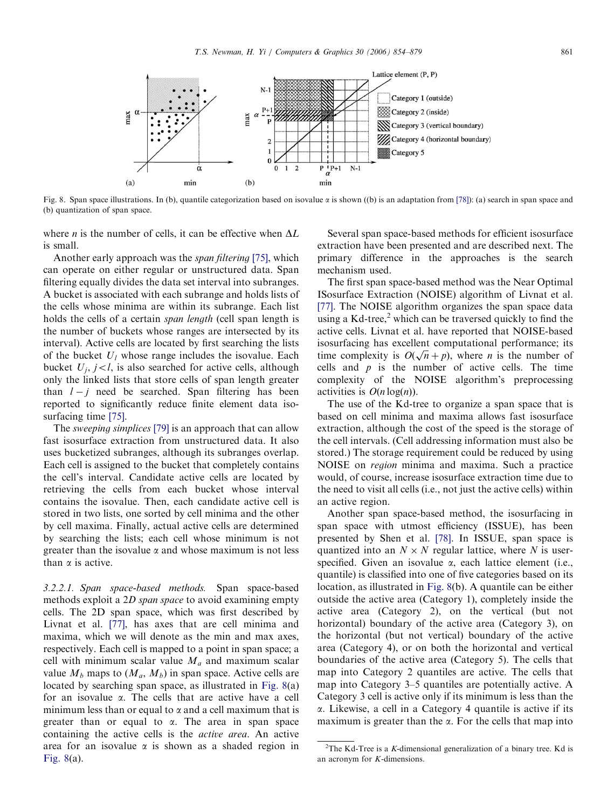

Fig. 8. Span space illustrations. In (b), quantile categorization based on isovalue  $\alpha$  is shown ((b) is an adaptation from [\[78\]](#page-22-0)): (a) search in span space and (b) quantization of span space.

where *n* is the number of cells, it can be effective when  $\Delta L$ is small.

Another early approach was the span filtering [\[75\]](#page-22-0), which can operate on either regular or unstructured data. Span filtering equally divides the data set interval into subranges. A bucket is associated with each subrange and holds lists of the cells whose minima are within its subrange. Each list holds the cells of a certain span length (cell span length is the number of buckets whose ranges are intersected by its interval). Active cells are located by first searching the lists of the bucket  $U_l$  whose range includes the isovalue. Each bucket  $U_i$ ,  $j < l$ , is also searched for active cells, although only the linked lists that store cells of span length greater than  $l - j$  need be searched. Span filtering has been reported to significantly reduce finite element data isosurfacing time [\[75\]](#page-22-0).

The *sweeping simplices* [\[79\]](#page-22-0) is an approach that can allow fast isosurface extraction from unstructured data. It also uses bucketized subranges, although its subranges overlap. Each cell is assigned to the bucket that completely contains the cell's interval. Candidate active cells are located by retrieving the cells from each bucket whose interval contains the isovalue. Then, each candidate active cell is stored in two lists, one sorted by cell minima and the other by cell maxima. Finally, actual active cells are determined by searching the lists; each cell whose minimum is not greater than the isovalue  $\alpha$  and whose maximum is not less than  $\alpha$  is active.

3.2.2.1. Span space-based methods. Span space-based methods exploit a 2D span space to avoid examining empty cells. The 2D span space, which was first described by Livnat et al. [\[77\],](#page-22-0) has axes that are cell minima and maxima, which we will denote as the min and max axes, respectively. Each cell is mapped to a point in span space; a cell with minimum scalar value  $M_a$  and maximum scalar value  $M_b$  maps to  $(M_a, M_b)$  in span space. Active cells are located by searching span space, as illustrated in Fig. 8(a) for an isovalue  $\alpha$ . The cells that are active have a cell minimum less than or equal to  $\alpha$  and a cell maximum that is greater than or equal to  $\alpha$ . The area in span space containing the active cells is the active area. An active area for an isovalue  $\alpha$  is shown as a shaded region in Fig. 8(a).

Several span space-based methods for efficient isosurface extraction have been presented and are described next. The primary difference in the approaches is the search mechanism used.

The first span space-based method was the Near Optimal ISosurface Extraction (NOISE) algorithm of Livnat et al. [\[77\].](#page-22-0) The NOISE algorithm organizes the span space data using a Kd-tree,<sup>2</sup> which can be traversed quickly to find the active cells. Livnat et al. have reported that NOISE-based isosurfacing has excellent computational performance; its time complexity is  $O(\sqrt{n}+p)$ , where *n* is the number of cells and  $p$  is the number of active cells. The time complexity of the NOISE algorithm's preprocessing activities is  $O(n \log(n))$ .

The use of the Kd-tree to organize a span space that is based on cell minima and maxima allows fast isosurface extraction, although the cost of the speed is the storage of the cell intervals. (Cell addressing information must also be stored.) The storage requirement could be reduced by using NOISE on region minima and maxima. Such a practice would, of course, increase isosurface extraction time due to the need to visit all cells (i.e., not just the active cells) within an active region.

Another span space-based method, the isosurfacing in span space with utmost efficiency (ISSUE), has been presented by Shen et al. [\[78\].](#page-22-0) In ISSUE, span space is quantized into an  $N \times N$  regular lattice, where N is userspecified. Given an isovalue  $\alpha$ , each lattice element (i.e., quantile) is classified into one of five categories based on its location, as illustrated in Fig. 8(b). A quantile can be either outside the active area (Category 1), completely inside the active area (Category 2), on the vertical (but not horizontal) boundary of the active area (Category 3), on the horizontal (but not vertical) boundary of the active area (Category 4), or on both the horizontal and vertical boundaries of the active area (Category 5). The cells that map into Category 2 quantiles are active. The cells that map into Category 3–5 quantiles are potentially active. A Category 3 cell is active only if its minimum is less than the a. Likewise, a cell in a Category 4 quantile is active if its maximum is greater than the  $\alpha$ . For the cells that map into

<sup>&</sup>lt;sup>2</sup>The Kd-Tree is a K-dimensional generalization of a binary tree. Kd is an acronym for K-dimensions.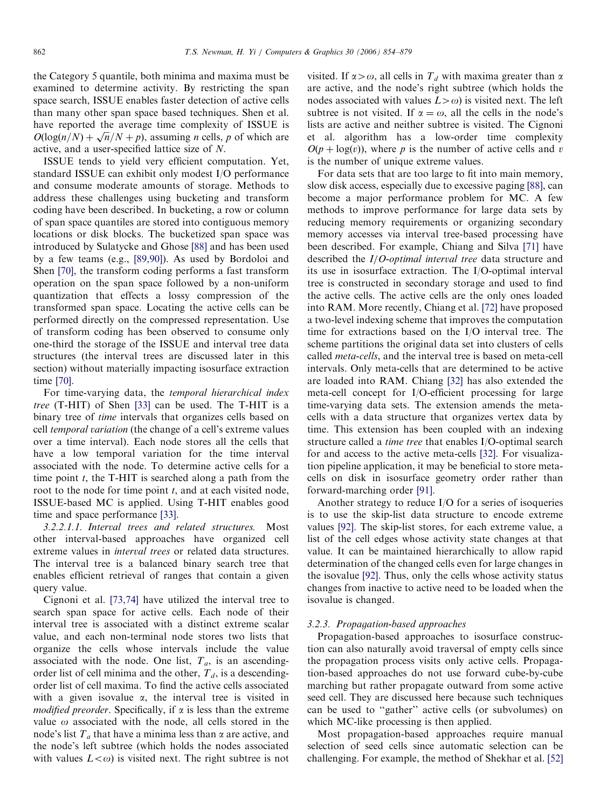the Category 5 quantile, both minima and maxima must be examined to determine activity. By restricting the span space search, ISSUE enables faster detection of active cells than many other span space based techniques. Shen et al. have reported the average time complexity of ISSUE is mave reported the average time complexity of **ISSOL** is  $O(\log(n/N) + \sqrt{n}/N + p)$ , assuming *n* cells, *p* of which are active, and a user-specified lattice size of N.

ISSUE tends to yield very efficient computation. Yet, standard ISSUE can exhibit only modest I/O performance and consume moderate amounts of storage. Methods to address these challenges using bucketing and transform coding have been described. In bucketing, a row or column of span space quantiles are stored into contiguous memory locations or disk blocks. The bucketized span space was introduced by Sulatycke and Ghose [\[88\]](#page-22-0) and has been used by a few teams (e.g., [\[89,90\]\)](#page-22-0). As used by Bordoloi and Shen [\[70\]](#page-22-0), the transform coding performs a fast transform operation on the span space followed by a non-uniform quantization that effects a lossy compression of the transformed span space. Locating the active cells can be performed directly on the compressed representation. Use of transform coding has been observed to consume only one-third the storage of the ISSUE and interval tree data structures (the interval trees are discussed later in this section) without materially impacting isosurface extraction time [\[70\]](#page-22-0).

For time-varying data, the temporal hierarchical index tree (T-HIT) of Shen [\[33\]](#page-21-0) can be used. The T-HIT is a binary tree of time intervals that organizes cells based on cell temporal variation (the change of a cell's extreme values over a time interval). Each node stores all the cells that have a low temporal variation for the time interval associated with the node. To determine active cells for a time point  $t$ , the T-HIT is searched along a path from the root to the node for time point  $t$ , and at each visited node, ISSUE-based MC is applied. Using T-HIT enables good time and space performance [\[33\].](#page-21-0)

3.2.2.1.1. Interval trees and related structures. Most other interval-based approaches have organized cell extreme values in interval trees or related data structures. The interval tree is a balanced binary search tree that enables efficient retrieval of ranges that contain a given query value.

Cignoni et al. [\[73,74\]](#page-22-0) have utilized the interval tree to search span space for active cells. Each node of their interval tree is associated with a distinct extreme scalar value, and each non-terminal node stores two lists that organize the cells whose intervals include the value associated with the node. One list,  $T_a$ , is an ascendingorder list of cell minima and the other,  $T_d$ , is a descendingorder list of cell maxima. To find the active cells associated with a given isovalue  $\alpha$ , the interval tree is visited in modified preorder. Specifically, if  $\alpha$  is less than the extreme value  $\omega$  associated with the node, all cells stored in the node's list  $T_a$  that have a minima less than  $\alpha$  are active, and the node's left subtree (which holds the nodes associated with values  $L < \omega$ ) is visited next. The right subtree is not visited. If  $\alpha > \omega$ , all cells in  $T_d$  with maxima greater than  $\alpha$ are active, and the node's right subtree (which holds the nodes associated with values  $L > \omega$ ) is visited next. The left subtree is not visited. If  $\alpha = \omega$ , all the cells in the node's lists are active and neither subtree is visited. The Cignoni et al. algorithm has a low-order time complexity  $O(p + log(v))$ , where p is the number of active cells and v is the number of unique extreme values.

For data sets that are too large to fit into main memory, slow disk access, especially due to excessive paging [\[88\],](#page-22-0) can become a major performance problem for MC. A few methods to improve performance for large data sets by reducing memory requirements or organizing secondary memory accesses via interval tree-based processing have been described. For example, Chiang and Silva [\[71\]](#page-22-0) have described the I/O-optimal interval tree data structure and its use in isosurface extraction. The I/O-optimal interval tree is constructed in secondary storage and used to find the active cells. The active cells are the only ones loaded into RAM. More recently, Chiang et al. [\[72\]](#page-22-0) have proposed a two-level indexing scheme that improves the computation time for extractions based on the I/O interval tree. The scheme partitions the original data set into clusters of cells called meta-cells, and the interval tree is based on meta-cell intervals. Only meta-cells that are determined to be active are loaded into RAM. Chiang [\[32\]](#page-21-0) has also extended the meta-cell concept for I/O-efficient processing for large time-varying data sets. The extension amends the metacells with a data structure that organizes vertex data by time. This extension has been coupled with an indexing structure called a time tree that enables I/O-optimal search for and access to the active meta-cells [\[32\]](#page-21-0). For visualization pipeline application, it may be beneficial to store metacells on disk in isosurface geometry order rather than forward-marching order [\[91\]](#page-22-0).

Another strategy to reduce I/O for a series of isoqueries is to use the skip-list data structure to encode extreme values [\[92\]](#page-22-0). The skip-list stores, for each extreme value, a list of the cell edges whose activity state changes at that value. It can be maintained hierarchically to allow rapid determination of the changed cells even for large changes in the isovalue [\[92\]](#page-22-0). Thus, only the cells whose activity status changes from inactive to active need to be loaded when the isovalue is changed.

#### 3.2.3. Propagation-based approaches

Propagation-based approaches to isosurface construction can also naturally avoid traversal of empty cells since the propagation process visits only active cells. Propagation-based approaches do not use forward cube-by-cube marching but rather propagate outward from some active seed cell. They are discussed here because such techniques can be used to ''gather'' active cells (or subvolumes) on which MC-like processing is then applied.

Most propagation-based approaches require manual selection of seed cells since automatic selection can be challenging. For example, the method of Shekhar et al. [\[52\]](#page-21-0)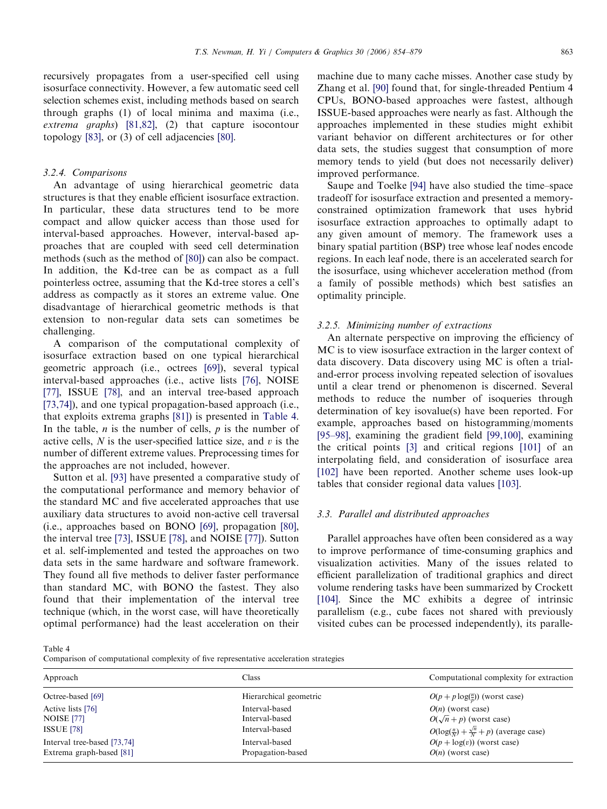recursively propagates from a user-specified cell using isosurface connectivity. However, a few automatic seed cell selection schemes exist, including methods based on search through graphs (1) of local minima and maxima (i.e., extrema graphs) [\[81,82\],](#page-22-0) (2) that capture isocontour topology [\[83\]](#page-22-0), or (3) of cell adjacencies [\[80\].](#page-22-0)

## 3.2.4. Comparisons

An advantage of using hierarchical geometric data structures is that they enable efficient isosurface extraction. In particular, these data structures tend to be more compact and allow quicker access than those used for interval-based approaches. However, interval-based approaches that are coupled with seed cell determination methods (such as the method of [\[80\]\)](#page-22-0) can also be compact. In addition, the Kd-tree can be as compact as a full pointerless octree, assuming that the Kd-tree stores a cell's address as compactly as it stores an extreme value. One disadvantage of hierarchical geometric methods is that extension to non-regular data sets can sometimes be challenging.

A comparison of the computational complexity of isosurface extraction based on one typical hierarchical geometric approach (i.e., octrees [\[69\]\)](#page-22-0), several typical interval-based approaches (i.e., active lists [\[76\]](#page-22-0), NOISE [\[77\],](#page-22-0) ISSUE [\[78\],](#page-22-0) and an interval tree-based approach [\[73,74\]\)](#page-22-0), and one typical propagation-based approach (i.e., that exploits extrema graphs [\[81\]](#page-22-0)) is presented in Table 4. In the table,  $n$  is the number of cells,  $p$  is the number of active cells,  $N$  is the user-specified lattice size, and  $v$  is the number of different extreme values. Preprocessing times for the approaches are not included, however.

Sutton et al. [\[93\]](#page-22-0) have presented a comparative study of the computational performance and memory behavior of the standard MC and five accelerated approaches that use auxiliary data structures to avoid non-active cell traversal (i.e., approaches based on BONO [\[69\],](#page-22-0) propagation [\[80\],](#page-22-0) the interval tree [\[73\],](#page-22-0) ISSUE [\[78\]](#page-22-0), and NOISE [\[77\]](#page-22-0)). Sutton et al. self-implemented and tested the approaches on two data sets in the same hardware and software framework. They found all five methods to deliver faster performance than standard MC, with BONO the fastest. They also found that their implementation of the interval tree technique (which, in the worst case, will have theoretically optimal performance) had the least acceleration on their

machine due to many cache misses. Another case study by Zhang et al. [\[90\]](#page-22-0) found that, for single-threaded Pentium 4 CPUs, BONO-based approaches were fastest, although ISSUE-based approaches were nearly as fast. Although the approaches implemented in these studies might exhibit variant behavior on different architectures or for other data sets, the studies suggest that consumption of more memory tends to yield (but does not necessarily deliver) improved performance.

Saupe and Toelke [\[94\]](#page-22-0) have also studied the time–space tradeoff for isosurface extraction and presented a memoryconstrained optimization framework that uses hybrid isosurface extraction approaches to optimally adapt to any given amount of memory. The framework uses a binary spatial partition (BSP) tree whose leaf nodes encode regions. In each leaf node, there is an accelerated search for the isosurface, using whichever acceleration method (from a family of possible methods) which best satisfies an optimality principle.

# 3.2.5. Minimizing number of extractions

An alternate perspective on improving the efficiency of MC is to view isosurface extraction in the larger context of data discovery. Data discovery using MC is often a trialand-error process involving repeated selection of isovalues until a clear trend or phenomenon is discerned. Several methods to reduce the number of isoqueries through determination of key isovalue(s) have been reported. For example, approaches based on histogramming/moments [\[95–98\],](#page-22-0) examining the gradient field [\[99,100\]](#page-22-0), examining the critical points [\[3\]](#page-20-0) and critical regions [\[101\]](#page-23-0) of an interpolating field, and consideration of isosurface area [\[102\]](#page-23-0) have been reported. Another scheme uses look-up tables that consider regional data values [\[103\]](#page-23-0).

# 3.3. Parallel and distributed approaches

Parallel approaches have often been considered as a way to improve performance of time-consuming graphics and visualization activities. Many of the issues related to efficient parallelization of traditional graphics and direct volume rendering tasks have been summarized by Crockett [\[104\].](#page-23-0) Since the MC exhibits a degree of intrinsic parallelism (e.g., cube faces not shared with previously visited cubes can be processed independently), its paralle-

Table 4

Comparison of computational complexity of five representative acceleration strategies

| Approach                                                | Class                               | Computational complexity for extraction<br>$O(p + p \log(\frac{n}{p}))$ (worst case)<br>$O(n)$ (worst case)<br>$O(\sqrt{n}+p)$ (worst case) |  |
|---------------------------------------------------------|-------------------------------------|---------------------------------------------------------------------------------------------------------------------------------------------|--|
| Octree-based [69]                                       | Hierarchical geometric              |                                                                                                                                             |  |
| Active lists [76]<br><b>NOISE</b> [77]                  | Interval-based<br>Interval-based    |                                                                                                                                             |  |
| <b>ISSUE</b> [78]<br>Interval-based                     |                                     | $O(\log(\frac{n}{N}) + \frac{\sqrt{n}}{N} + p)$ (average case)                                                                              |  |
| Interval tree-based [73,74]<br>Extrema graph-based [81] | Interval-based<br>Propagation-based | $O(p + \log(v))$ (worst case)<br>$O(n)$ (worst case)                                                                                        |  |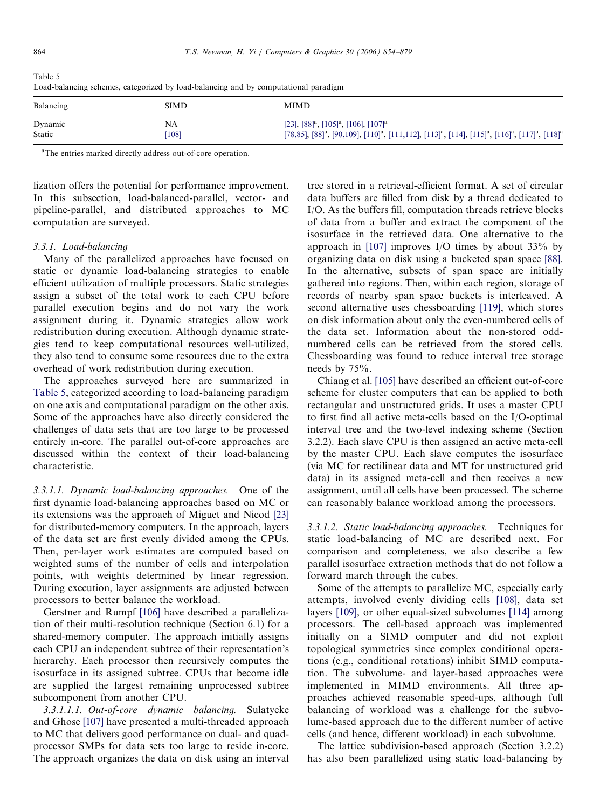Table 5 Load-balancing schemes, categorized by load-balancing and by computational paradigm

| Balancing | <b>SIMD</b> | <b>MIMD</b>                                                                                                                       |
|-----------|-------------|-----------------------------------------------------------------------------------------------------------------------------------|
| Dynamic   | NA.         | [23], $[88]$ <sup>a</sup> , $[105]$ <sup>a</sup> , $[106]$ , $[107]$ <sup>a</sup>                                                 |
| Static    | [108]       | $[78,85]$ , $[88]^a$ , $[90,109]$ , $[110]^a$ , $[111,112]$ , $[113]^a$ , $[114]$ , $[115]^a$ , $[116]^a$ , $[117]^a$ , $[118]^a$ |

<sup>a</sup>The entries marked directly address out-of-core operation.

lization offers the potential for performance improvement. In this subsection, load-balanced-parallel, vector- and pipeline-parallel, and distributed approaches to MC computation are surveyed.

## 3.3.1. Load-balancing

Many of the parallelized approaches have focused on static or dynamic load-balancing strategies to enable efficient utilization of multiple processors. Static strategies assign a subset of the total work to each CPU before parallel execution begins and do not vary the work assignment during it. Dynamic strategies allow work redistribution during execution. Although dynamic strategies tend to keep computational resources well-utilized, they also tend to consume some resources due to the extra overhead of work redistribution during execution.

The approaches surveyed here are summarized in Table 5, categorized according to load-balancing paradigm on one axis and computational paradigm on the other axis. Some of the approaches have also directly considered the challenges of data sets that are too large to be processed entirely in-core. The parallel out-of-core approaches are discussed within the context of their load-balancing characteristic.

3.3.1.1. Dynamic load-balancing approaches. One of the first dynamic load-balancing approaches based on MC or its extensions was the approach of Miguet and Nicod [\[23\]](#page-21-0) for distributed-memory computers. In the approach, layers of the data set are first evenly divided among the CPUs. Then, per-layer work estimates are computed based on weighted sums of the number of cells and interpolation points, with weights determined by linear regression. During execution, layer assignments are adjusted between processors to better balance the workload.

Gerstner and Rumpf [\[106\]](#page-23-0) have described a parallelization of their multi-resolution technique (Section 6.1) for a shared-memory computer. The approach initially assigns each CPU an independent subtree of their representation's hierarchy. Each processor then recursively computes the isosurface in its assigned subtree. CPUs that become idle are supplied the largest remaining unprocessed subtree subcomponent from another CPU.

3.3.1.1.1. Out-of-core dynamic balancing. Sulatycke and Ghose [\[107\]](#page-23-0) have presented a multi-threaded approach to MC that delivers good performance on dual- and quadprocessor SMPs for data sets too large to reside in-core. The approach organizes the data on disk using an interval tree stored in a retrieval-efficient format. A set of circular data buffers are filled from disk by a thread dedicated to I/O. As the buffers fill, computation threads retrieve blocks of data from a buffer and extract the component of the isosurface in the retrieved data. One alternative to the approach in [\[107\]](#page-23-0) improves I/O times by about 33% by organizing data on disk using a bucketed span space [\[88\]](#page-22-0). In the alternative, subsets of span space are initially gathered into regions. Then, within each region, storage of records of nearby span space buckets is interleaved. A second alternative uses chessboarding [\[119\]](#page-23-0), which stores on disk information about only the even-numbered cells of the data set. Information about the non-stored oddnumbered cells can be retrieved from the stored cells. Chessboarding was found to reduce interval tree storage needs by 75%.

Chiang et al. [\[105\]](#page-23-0) have described an efficient out-of-core scheme for cluster computers that can be applied to both rectangular and unstructured grids. It uses a master CPU to first find all active meta-cells based on the I/O-optimal interval tree and the two-level indexing scheme (Section 3.2.2). Each slave CPU is then assigned an active meta-cell by the master CPU. Each slave computes the isosurface (via MC for rectilinear data and MT for unstructured grid data) in its assigned meta-cell and then receives a new assignment, until all cells have been processed. The scheme can reasonably balance workload among the processors.

3.3.1.2. Static load-balancing approaches. Techniques for static load-balancing of MC are described next. For comparison and completeness, we also describe a few parallel isosurface extraction methods that do not follow a forward march through the cubes.

Some of the attempts to parallelize MC, especially early attempts, involved evenly dividing cells [\[108\],](#page-23-0) data set layers [\[109\]](#page-23-0), or other equal-sized subvolumes [\[114\]](#page-23-0) among processors. The cell-based approach was implemented initially on a SIMD computer and did not exploit topological symmetries since complex conditional operations (e.g., conditional rotations) inhibit SIMD computation. The subvolume- and layer-based approaches were implemented in MIMD environments. All three approaches achieved reasonable speed-ups, although full balancing of workload was a challenge for the subvolume-based approach due to the different number of active cells (and hence, different workload) in each subvolume.

The lattice subdivision-based approach (Section 3.2.2) has also been parallelized using static load-balancing by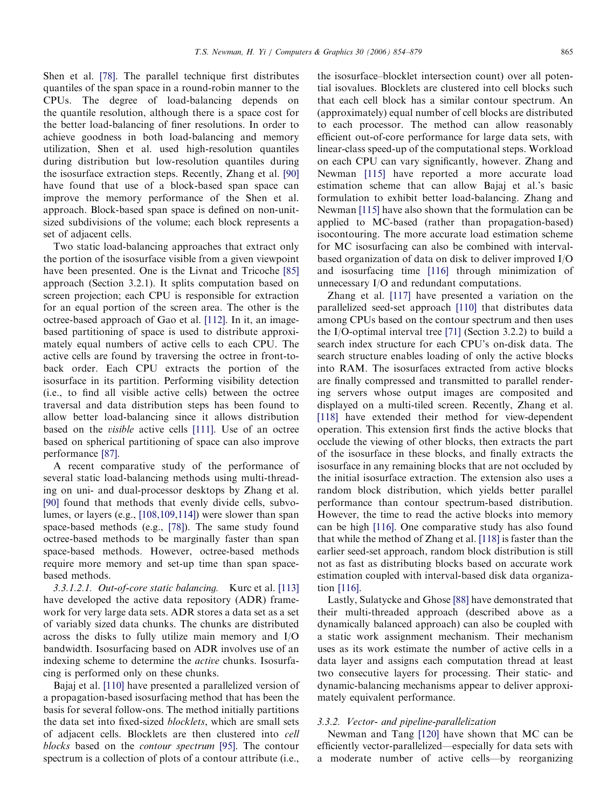Shen et al. [\[78\]](#page-22-0). The parallel technique first distributes quantiles of the span space in a round-robin manner to the CPUs. The degree of load-balancing depends on the quantile resolution, although there is a space cost for the better load-balancing of finer resolutions. In order to achieve goodness in both load-balancing and memory utilization, Shen et al. used high-resolution quantiles during distribution but low-resolution quantiles during the isosurface extraction steps. Recently, Zhang et al. [\[90\]](#page-22-0) have found that use of a block-based span space can improve the memory performance of the Shen et al. approach. Block-based span space is defined on non-unitsized subdivisions of the volume; each block represents a set of adjacent cells.

Two static load-balancing approaches that extract only the portion of the isosurface visible from a given viewpoint have been presented. One is the Livnat and Tricoche [\[85\]](#page-22-0) approach (Section 3.2.1). It splits computation based on screen projection; each CPU is responsible for extraction for an equal portion of the screen area. The other is the octree-based approach of Gao et al. [\[112\]](#page-23-0). In it, an imagebased partitioning of space is used to distribute approximately equal numbers of active cells to each CPU. The active cells are found by traversing the octree in front-toback order. Each CPU extracts the portion of the isosurface in its partition. Performing visibility detection (i.e., to find all visible active cells) between the octree traversal and data distribution steps has been found to allow better load-balancing since it allows distribution based on the visible active cells [\[111\]](#page-23-0). Use of an octree based on spherical partitioning of space can also improve performance [\[87\]](#page-22-0).

A recent comparative study of the performance of several static load-balancing methods using multi-threading on uni- and dual-processor desktops by Zhang et al. [\[90\]](#page-22-0) found that methods that evenly divide cells, subvolumes, or layers (e.g., [\[108,109,114\]](#page-23-0)) were slower than span space-based methods (e.g., [\[78\]\)](#page-22-0). The same study found octree-based methods to be marginally faster than span space-based methods. However, octree-based methods require more memory and set-up time than span spacebased methods.

3.3.1.2.1. Out-of-core static balancing. Kurc et al. [\[113\]](#page-23-0) have developed the active data repository (ADR) framework for very large data sets. ADR stores a data set as a set of variably sized data chunks. The chunks are distributed across the disks to fully utilize main memory and I/O bandwidth. Isosurfacing based on ADR involves use of an indexing scheme to determine the *active* chunks. Isosurfacing is performed only on these chunks.

Bajaj et al. [\[110\]](#page-23-0) have presented a parallelized version of a propagation-based isosurfacing method that has been the basis for several follow-ons. The method initially partitions the data set into fixed-sized blocklets, which are small sets of adjacent cells. Blocklets are then clustered into cell blocks based on the contour spectrum [\[95\].](#page-22-0) The contour spectrum is a collection of plots of a contour attribute (i.e.,

the isosurface–blocklet intersection count) over all potential isovalues. Blocklets are clustered into cell blocks such that each cell block has a similar contour spectrum. An (approximately) equal number of cell blocks are distributed to each processor. The method can allow reasonably efficient out-of-core performance for large data sets, with linear-class speed-up of the computational steps. Workload on each CPU can vary significantly, however. Zhang and Newman [\[115\]](#page-23-0) have reported a more accurate load estimation scheme that can allow Bajaj et al.'s basic formulation to exhibit better load-balancing. Zhang and Newman [\[115\]](#page-23-0) have also shown that the formulation can be applied to MC-based (rather than propagation-based) isocontouring. The more accurate load estimation scheme for MC isosurfacing can also be combined with intervalbased organization of data on disk to deliver improved I/O and isosurfacing time [\[116\]](#page-23-0) through minimization of unnecessary I/O and redundant computations.

Zhang et al. [\[117\]](#page-23-0) have presented a variation on the parallelized seed-set approach [\[110\]](#page-23-0) that distributes data among CPUs based on the contour spectrum and then uses the I/O-optimal interval tree [\[71\]](#page-22-0) (Section 3.2.2) to build a search index structure for each CPU's on-disk data. The search structure enables loading of only the active blocks into RAM. The isosurfaces extracted from active blocks are finally compressed and transmitted to parallel rendering servers whose output images are composited and displayed on a multi-tiled screen. Recently, Zhang et al. [\[118\]](#page-23-0) have extended their method for view-dependent operation. This extension first finds the active blocks that occlude the viewing of other blocks, then extracts the part of the isosurface in these blocks, and finally extracts the isosurface in any remaining blocks that are not occluded by the initial isosurface extraction. The extension also uses a random block distribution, which yields better parallel performance than contour spectrum-based distribution. However, the time to read the active blocks into memory can be high [\[116\].](#page-23-0) One comparative study has also found that while the method of Zhang et al. [\[118\]](#page-23-0) is faster than the earlier seed-set approach, random block distribution is still not as fast as distributing blocks based on accurate work estimation coupled with interval-based disk data organization [\[116\]](#page-23-0).

Lastly, Sulatycke and Ghose [\[88\]](#page-22-0) have demonstrated that their multi-threaded approach (described above as a dynamically balanced approach) can also be coupled with a static work assignment mechanism. Their mechanism uses as its work estimate the number of active cells in a data layer and assigns each computation thread at least two consecutive layers for processing. Their static- and dynamic-balancing mechanisms appear to deliver approximately equivalent performance.

## 3.3.2. Vector- and pipeline-parallelization

Newman and Tang [\[120\]](#page-23-0) have shown that MC can be efficiently vector-parallelized—especially for data sets with a moderate number of active cells—by reorganizing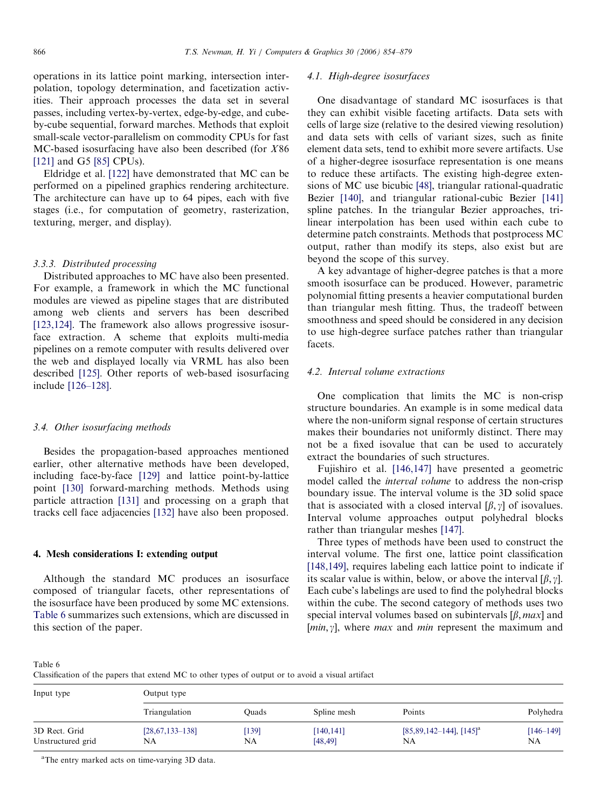operations in its lattice point marking, intersection interpolation, topology determination, and facetization activities. Their approach processes the data set in several passes, including vertex-by-vertex, edge-by-edge, and cubeby-cube sequential, forward marches. Methods that exploit small-scale vector-parallelism on commodity CPUs for fast MC-based isosurfacing have also been described (for X86 [\[121\]](#page-23-0) and G5 [\[85\]](#page-22-0) CPUs).

Eldridge et al. [\[122\]](#page-23-0) have demonstrated that MC can be performed on a pipelined graphics rendering architecture. The architecture can have up to 64 pipes, each with five stages (i.e., for computation of geometry, rasterization, texturing, merger, and display).

## 3.3.3. Distributed processing

Distributed approaches to MC have also been presented. For example, a framework in which the MC functional modules are viewed as pipeline stages that are distributed among web clients and servers has been described [\[123,124\].](#page-23-0) The framework also allows progressive isosurface extraction. A scheme that exploits multi-media pipelines on a remote computer with results delivered over the web and displayed locally via VRML has also been described [\[125\].](#page-23-0) Other reports of web-based isosurfacing include [\[126–128\]](#page-23-0).

#### 3.4. Other isosurfacing methods

Besides the propagation-based approaches mentioned earlier, other alternative methods have been developed, including face-by-face [\[129\]](#page-23-0) and lattice point-by-lattice point [\[130\]](#page-23-0) forward-marching methods. Methods using particle attraction [\[131\]](#page-23-0) and processing on a graph that tracks cell face adjacencies [\[132\]](#page-23-0) have also been proposed.

#### 4. Mesh considerations I: extending output

Although the standard MC produces an isosurface composed of triangular facets, other representations of the isosurface have been produced by some MC extensions. Table 6 summarizes such extensions, which are discussed in this section of the paper.

# 4.1. High-degree isosurfaces

One disadvantage of standard MC isosurfaces is that they can exhibit visible faceting artifacts. Data sets with cells of large size (relative to the desired viewing resolution) and data sets with cells of variant sizes, such as finite element data sets, tend to exhibit more severe artifacts. Use of a higher-degree isosurface representation is one means to reduce these artifacts. The existing high-degree extensions of MC use bicubic [\[48\],](#page-21-0) triangular rational-quadratic Bezier [\[140\],](#page-23-0) and triangular rational-cubic Bezier [\[141\]](#page-23-0) spline patches. In the triangular Bezier approaches, trilinear interpolation has been used within each cube to determine patch constraints. Methods that postprocess MC output, rather than modify its steps, also exist but are beyond the scope of this survey.

A key advantage of higher-degree patches is that a more smooth isosurface can be produced. However, parametric polynomial fitting presents a heavier computational burden than triangular mesh fitting. Thus, the tradeoff between smoothness and speed should be considered in any decision to use high-degree surface patches rather than triangular facets.

## 4.2. Interval volume extractions

One complication that limits the MC is non-crisp structure boundaries. An example is in some medical data where the non-uniform signal response of certain structures makes their boundaries not uniformly distinct. There may not be a fixed isovalue that can be used to accurately extract the boundaries of such structures.

Fujishiro et al. [\[146,147\]](#page-24-0) have presented a geometric model called the interval volume to address the non-crisp boundary issue. The interval volume is the 3D solid space that is associated with a closed interval  $[\beta, \gamma]$  of isovalues. Interval volume approaches output polyhedral blocks rather than triangular meshes [\[147\]](#page-24-0).

Three types of methods have been used to construct the interval volume. The first one, lattice point classification [\[148,149\],](#page-24-0) requires labeling each lattice point to indicate if its scalar value is within, below, or above the interval  $[\beta, \gamma]$ . Each cube's labelings are used to find the polyhedral blocks within the cube. The second category of methods uses two special interval volumes based on subintervals  $[\beta, max]$  and  $[min, \gamma]$ , where *max* and *min* represent the maximum and

Table 6

Classification of the papers that extend MC to other types of output or to avoid a visual artifact

| Input type                         | Output type             |                    |                        |                                                |                     |
|------------------------------------|-------------------------|--------------------|------------------------|------------------------------------------------|---------------------|
|                                    | Triangulation           | Ouads              | Spline mesh            | Points                                         | Polyhedra           |
| 3D Rect. Grid<br>Unstructured grid | $[28,67,133-138]$<br>NA | [139]<br><b>NA</b> | [140, 141]<br>[48, 49] | $[85,89,142-144]$ , $[145]$ <sup>a</sup><br>NA | $[146 - 149]$<br>NA |

<sup>a</sup>The entry marked acts on time-varying 3D data.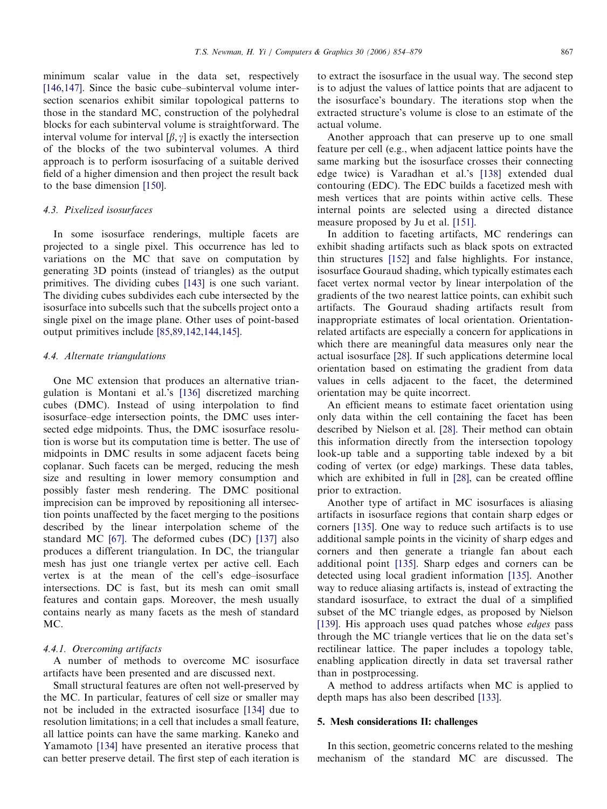minimum scalar value in the data set, respectively [\[146,147\].](#page-24-0) Since the basic cube–subinterval volume intersection scenarios exhibit similar topological patterns to those in the standard MC, construction of the polyhedral blocks for each subinterval volume is straightforward. The interval volume for interval  $[\beta, \gamma]$  is exactly the intersection of the blocks of the two subinterval volumes. A third approach is to perform isosurfacing of a suitable derived field of a higher dimension and then project the result back to the base dimension [\[150\].](#page-24-0)

#### 4.3. Pixelized isosurfaces

In some isosurface renderings, multiple facets are projected to a single pixel. This occurrence has led to variations on the MC that save on computation by generating 3D points (instead of triangles) as the output primitives. The dividing cubes [\[143\]](#page-23-0) is one such variant. The dividing cubes subdivides each cube intersected by the isosurface into subcells such that the subcells project onto a single pixel on the image plane. Other uses of point-based output primitives include [\[85,89,142,144,145\]](#page-22-0).

## 4.4. Alternate triangulations

One MC extension that produces an alternative triangulation is Montani et al.'s [\[136\]](#page-23-0) discretized marching cubes (DMC). Instead of using interpolation to find isosurface–edge intersection points, the DMC uses intersected edge midpoints. Thus, the DMC isosurface resolution is worse but its computation time is better. The use of midpoints in DMC results in some adjacent facets being coplanar. Such facets can be merged, reducing the mesh size and resulting in lower memory consumption and possibly faster mesh rendering. The DMC positional imprecision can be improved by repositioning all intersection points unaffected by the facet merging to the positions described by the linear interpolation scheme of the standard MC [\[67\]](#page-22-0). The deformed cubes (DC) [\[137\]](#page-23-0) also produces a different triangulation. In DC, the triangular mesh has just one triangle vertex per active cell. Each vertex is at the mean of the cell's edge–isosurface intersections. DC is fast, but its mesh can omit small features and contain gaps. Moreover, the mesh usually contains nearly as many facets as the mesh of standard MC.

#### 4.4.1. Overcoming artifacts

A number of methods to overcome MC isosurface artifacts have been presented and are discussed next.

Small structural features are often not well-preserved by the MC. In particular, features of cell size or smaller may not be included in the extracted isosurface [\[134\]](#page-23-0) due to resolution limitations; in a cell that includes a small feature, all lattice points can have the same marking. Kaneko and Yamamoto [\[134\]](#page-23-0) have presented an iterative process that can better preserve detail. The first step of each iteration is to extract the isosurface in the usual way. The second step is to adjust the values of lattice points that are adjacent to the isosurface's boundary. The iterations stop when the extracted structure's volume is close to an estimate of the actual volume.

Another approach that can preserve up to one small feature per cell (e.g., when adjacent lattice points have the same marking but the isosurface crosses their connecting edge twice) is Varadhan et al.'s [\[138\]](#page-23-0) extended dual contouring (EDC). The EDC builds a facetized mesh with mesh vertices that are points within active cells. These internal points are selected using a directed distance measure proposed by Ju et al. [\[151\]](#page-24-0).

In addition to faceting artifacts, MC renderings can exhibit shading artifacts such as black spots on extracted thin structures [\[152\]](#page-24-0) and false highlights. For instance, isosurface Gouraud shading, which typically estimates each facet vertex normal vector by linear interpolation of the gradients of the two nearest lattice points, can exhibit such artifacts. The Gouraud shading artifacts result from inappropriate estimates of local orientation. Orientationrelated artifacts are especially a concern for applications in which there are meaningful data measures only near the actual isosurface [\[28\]](#page-21-0). If such applications determine local orientation based on estimating the gradient from data values in cells adjacent to the facet, the determined orientation may be quite incorrect.

An efficient means to estimate facet orientation using only data within the cell containing the facet has been described by Nielson et al. [\[28\]](#page-21-0). Their method can obtain this information directly from the intersection topology look-up table and a supporting table indexed by a bit coding of vertex (or edge) markings. These data tables, which are exhibited in full in [\[28\]](#page-21-0), can be created offline prior to extraction.

Another type of artifact in MC isosurfaces is aliasing artifacts in isosurface regions that contain sharp edges or corners [\[135\]](#page-23-0). One way to reduce such artifacts is to use additional sample points in the vicinity of sharp edges and corners and then generate a triangle fan about each additional point [\[135\]](#page-23-0). Sharp edges and corners can be detected using local gradient information [\[135\]](#page-23-0). Another way to reduce aliasing artifacts is, instead of extracting the standard isosurface, to extract the dual of a simplified subset of the MC triangle edges, as proposed by Nielson [\[139\].](#page-23-0) His approach uses quad patches whose *edges* pass through the MC triangle vertices that lie on the data set's rectilinear lattice. The paper includes a topology table, enabling application directly in data set traversal rather than in postprocessing.

A method to address artifacts when MC is applied to depth maps has also been described [\[133\].](#page-23-0)

## 5. Mesh considerations II: challenges

In this section, geometric concerns related to the meshing mechanism of the standard MC are discussed. The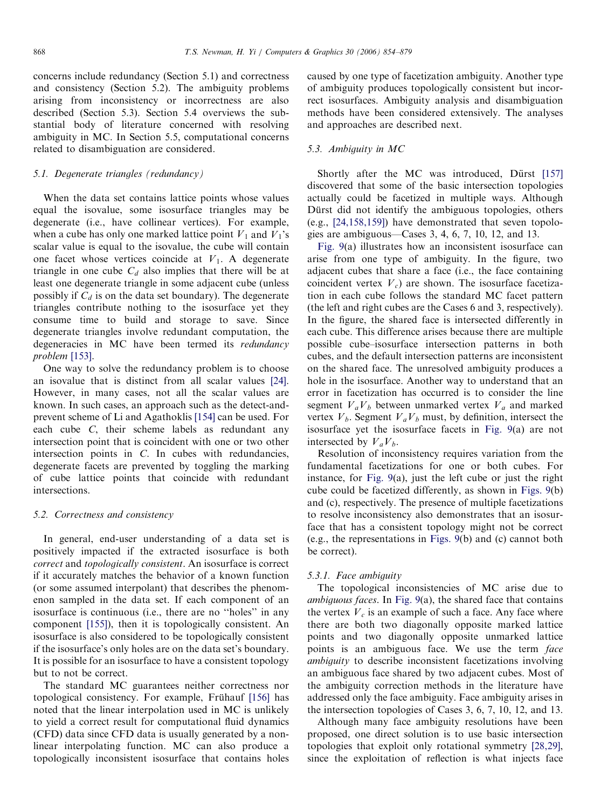concerns include redundancy (Section 5.1) and correctness and consistency (Section 5.2). The ambiguity problems arising from inconsistency or incorrectness are also described (Section 5.3). Section 5.4 overviews the substantial body of literature concerned with resolving ambiguity in MC. In Section 5.5, computational concerns related to disambiguation are considered.

# 5.1. Degenerate triangles (redundancy)

When the data set contains lattice points whose values equal the isovalue, some isosurface triangles may be degenerate (i.e., have collinear vertices). For example, when a cube has only one marked lattice point  $V_1$  and  $V_1$ 's scalar value is equal to the isovalue, the cube will contain one facet whose vertices coincide at  $V_1$ . A degenerate triangle in one cube  $C_d$  also implies that there will be at least one degenerate triangle in some adjacent cube (unless possibly if  $C_d$  is on the data set boundary). The degenerate triangles contribute nothing to the isosurface yet they consume time to build and storage to save. Since degenerate triangles involve redundant computation, the degeneracies in MC have been termed its redundancy problem [\[153\].](#page-24-0)

One way to solve the redundancy problem is to choose an isovalue that is distinct from all scalar values [\[24\]](#page-21-0). However, in many cases, not all the scalar values are known. In such cases, an approach such as the detect-andprevent scheme of Li and Agathoklis [\[154\]](#page-24-0) can be used. For each cube C, their scheme labels as redundant any intersection point that is coincident with one or two other intersection points in C. In cubes with redundancies, degenerate facets are prevented by toggling the marking of cube lattice points that coincide with redundant intersections.

## 5.2. Correctness and consistency

In general, end-user understanding of a data set is positively impacted if the extracted isosurface is both correct and topologically consistent. An isosurface is correct if it accurately matches the behavior of a known function (or some assumed interpolant) that describes the phenomenon sampled in the data set. If each component of an isosurface is continuous (i.e., there are no ''holes'' in any component [\[155\]](#page-24-0)), then it is topologically consistent. An isosurface is also considered to be topologically consistent if the isosurface's only holes are on the data set's boundary. It is possible for an isosurface to have a consistent topology but to not be correct.

The standard MC guarantees neither correctness nor topological consistency. For example, Frühauf [\[156\]](#page-24-0) has noted that the linear interpolation used in MC is unlikely to yield a correct result for computational fluid dynamics (CFD) data since CFD data is usually generated by a nonlinear interpolating function. MC can also produce a topologically inconsistent isosurface that contains holes caused by one type of facetization ambiguity. Another type of ambiguity produces topologically consistent but incorrect isosurfaces. Ambiguity analysis and disambiguation methods have been considered extensively. The analyses and approaches are described next.

## 5.3. Ambiguity in MC

Shortly after the MC was introduced, Dürst [\[157\]](#page-24-0) discovered that some of the basic intersection topologies actually could be facetized in multiple ways. Although Dürst did not identify the ambiguous topologies, others (e.g., [\[24,158,159\]\)](#page-21-0) have demonstrated that seven topologies are ambiguous—Cases 3, 4, 6, 7, 10, 12, and 13.

[Fig. 9\(](#page-15-0)a) illustrates how an inconsistent isosurface can arise from one type of ambiguity. In the figure, two adjacent cubes that share a face (i.e., the face containing coincident vertex  $V_c$ ) are shown. The isosurface facetization in each cube follows the standard MC facet pattern (the left and right cubes are the Cases 6 and 3, respectively). In the figure, the shared face is intersected differently in each cube. This difference arises because there are multiple possible cube–isosurface intersection patterns in both cubes, and the default intersection patterns are inconsistent on the shared face. The unresolved ambiguity produces a hole in the isosurface. Another way to understand that an error in facetization has occurred is to consider the line segment  $V_a V_b$  between unmarked vertex  $V_a$  and marked vertex  $V_b$ . Segment  $V_a V_b$  must, by definition, intersect the isosurface yet the isosurface facets in [Fig. 9](#page-15-0)(a) are not intersected by  $V_a V_b$ .

Resolution of inconsistency requires variation from the fundamental facetizations for one or both cubes. For instance, for [Fig. 9\(](#page-15-0)a), just the left cube or just the right cube could be facetized differently, as shown in [Figs. 9\(](#page-15-0)b) and (c), respectively. The presence of multiple facetizations to resolve inconsistency also demonstrates that an isosurface that has a consistent topology might not be correct (e.g., the representations in [Figs. 9](#page-15-0)(b) and (c) cannot both be correct).

#### 5.3.1. Face ambiguity

The topological inconsistencies of MC arise due to ambiguous faces. In [Fig. 9\(](#page-15-0)a), the shared face that contains the vertex  $V_c$  is an example of such a face. Any face where there are both two diagonally opposite marked lattice points and two diagonally opposite unmarked lattice points is an ambiguous face. We use the term face ambiguity to describe inconsistent facetizations involving an ambiguous face shared by two adjacent cubes. Most of the ambiguity correction methods in the literature have addressed only the face ambiguity. Face ambiguity arises in the intersection topologies of Cases 3, 6, 7, 10, 12, and 13.

Although many face ambiguity resolutions have been proposed, one direct solution is to use basic intersection topologies that exploit only rotational symmetry [\[28,29\]](#page-21-0), since the exploitation of reflection is what injects face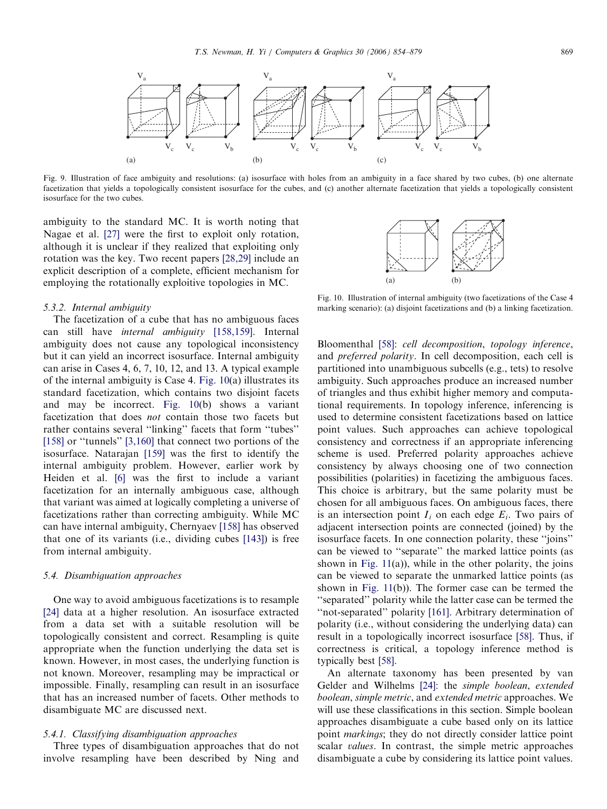<span id="page-15-0"></span>

Fig. 9. Illustration of face ambiguity and resolutions: (a) isosurface with holes from an ambiguity in a face shared by two cubes, (b) one alternate facetization that yields a topologically consistent isosurface for the cubes, and (c) another alternate facetization that yields a topologically consistent isosurface for the two cubes.

ambiguity to the standard MC. It is worth noting that Nagae et al. [\[27\]](#page-21-0) were the first to exploit only rotation, although it is unclear if they realized that exploiting only rotation was the key. Two recent papers [\[28,29\]](#page-21-0) include an explicit description of a complete, efficient mechanism for employing the rotationally exploitive topologies in MC.

## 5.3.2. Internal ambiguity

The facetization of a cube that has no ambiguous faces can still have internal ambiguity [\[158,159\].](#page-24-0) Internal ambiguity does not cause any topological inconsistency but it can yield an incorrect isosurface. Internal ambiguity can arise in Cases 4, 6, 7, 10, 12, and 13. A typical example of the internal ambiguity is Case 4. Fig. 10(a) illustrates its standard facetization, which contains two disjoint facets and may be incorrect. Fig. 10(b) shows a variant facetization that does not contain those two facets but rather contains several ''linking'' facets that form ''tubes'' [\[158\]](#page-24-0) or "tunnels" [\[3,160\]](#page-20-0) that connect two portions of the isosurface. Natarajan [\[159\]](#page-24-0) was the first to identify the internal ambiguity problem. However, earlier work by Heiden et al. [\[6\]](#page-20-0) was the first to include a variant facetization for an internally ambiguous case, although that variant was aimed at logically completing a universe of facetizations rather than correcting ambiguity. While MC can have internal ambiguity, Chernyaev [\[158\]](#page-24-0) has observed that one of its variants (i.e., dividing cubes [\[143\]](#page-23-0)) is free from internal ambiguity.

#### 5.4. Disambiguation approaches

One way to avoid ambiguous facetizations is to resample [\[24\]](#page-21-0) data at a higher resolution. An isosurface extracted from a data set with a suitable resolution will be topologically consistent and correct. Resampling is quite appropriate when the function underlying the data set is known. However, in most cases, the underlying function is not known. Moreover, resampling may be impractical or impossible. Finally, resampling can result in an isosurface that has an increased number of facets. Other methods to disambiguate MC are discussed next.

## 5.4.1. Classifying disambiguation approaches

Three types of disambiguation approaches that do not involve resampling have been described by Ning and



Fig. 10. Illustration of internal ambiguity (two facetizations of the Case 4 marking scenario): (a) disjoint facetizations and (b) a linking facetization.

Bloomenthal [\[58\]](#page-22-0): cell decomposition, topology inference, and preferred polarity. In cell decomposition, each cell is partitioned into unambiguous subcells (e.g., tets) to resolve ambiguity. Such approaches produce an increased number of triangles and thus exhibit higher memory and computational requirements. In topology inference, inferencing is used to determine consistent facetizations based on lattice point values. Such approaches can achieve topological consistency and correctness if an appropriate inferencing scheme is used. Preferred polarity approaches achieve consistency by always choosing one of two connection possibilities (polarities) in facetizing the ambiguous faces. This choice is arbitrary, but the same polarity must be chosen for all ambiguous faces. On ambiguous faces, there is an intersection point  $I_i$  on each edge  $E_i$ . Two pairs of adjacent intersection points are connected (joined) by the isosurface facets. In one connection polarity, these ''joins'' can be viewed to ''separate'' the marked lattice points (as shown in Fig.  $11(a)$ , while in the other polarity, the joins can be viewed to separate the unmarked lattice points (as shown in [Fig. 11](#page-16-0)(b)). The former case can be termed the ''separated'' polarity while the latter case can be termed the ''not-separated'' polarity [\[161\]](#page-24-0). Arbitrary determination of polarity (i.e., without considering the underlying data) can result in a topologically incorrect isosurface [\[58\]](#page-22-0). Thus, if correctness is critical, a topology inference method is typically best [\[58\].](#page-22-0)

An alternate taxonomy has been presented by van Gelder and Wilhelms [\[24\]:](#page-21-0) the simple boolean, extended boolean, simple metric, and extended metric approaches. We will use these classifications in this section. Simple boolean approaches disambiguate a cube based only on its lattice point markings; they do not directly consider lattice point scalar values. In contrast, the simple metric approaches disambiguate a cube by considering its lattice point values.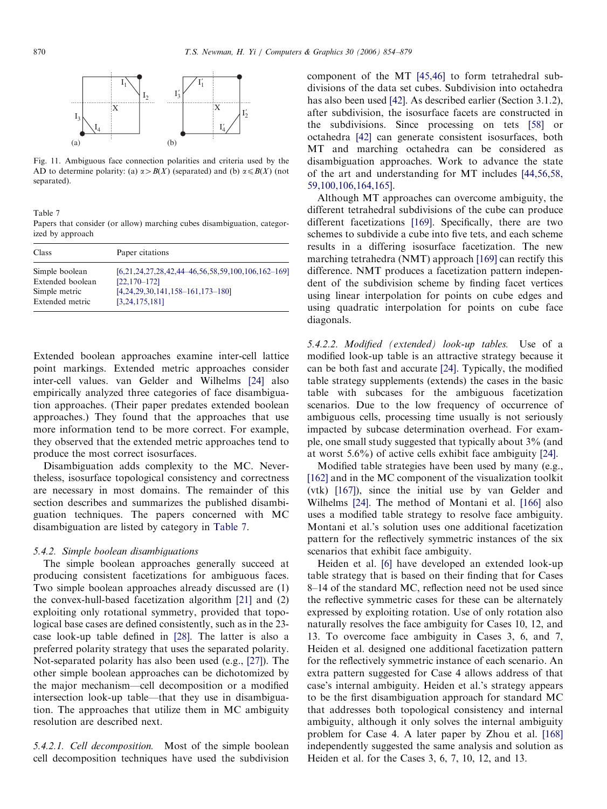<span id="page-16-0"></span>

Fig. 11. Ambiguous face connection polarities and criteria used by the AD to determine polarity: (a)  $\alpha > B(X)$  (separated) and (b)  $\alpha \le B(X)$  (not separated).

Table 7

Papers that consider (or allow) marching cubes disambiguation, categorized by approach

| Class            | Paper citations                                     |
|------------------|-----------------------------------------------------|
| Simple boolean   | $[6,21,24,27,28,42,44-46,56,58,59,100,106,162-169]$ |
| Extended boolean | $[22, 170 - 172]$                                   |
| Simple metric    | $[4,24,29,30,141,158-161,173-180]$                  |
| Extended metric  | [3, 24, 175, 181]                                   |

Extended boolean approaches examine inter-cell lattice point markings. Extended metric approaches consider inter-cell values. van Gelder and Wilhelms [\[24\]](#page-21-0) also empirically analyzed three categories of face disambiguation approaches. (Their paper predates extended boolean approaches.) They found that the approaches that use more information tend to be more correct. For example, they observed that the extended metric approaches tend to produce the most correct isosurfaces.

Disambiguation adds complexity to the MC. Nevertheless, isosurface topological consistency and correctness are necessary in most domains. The remainder of this section describes and summarizes the published disambiguation techniques. The papers concerned with MC disambiguation are listed by category in Table 7.

## 5.4.2. Simple boolean disambiguations

The simple boolean approaches generally succeed at producing consistent facetizations for ambiguous faces. Two simple boolean approaches already discussed are (1) the convex-hull-based facetization algorithm [\[21\]](#page-21-0) and (2) exploiting only rotational symmetry, provided that topological base cases are defined consistently, such as in the 23 case look-up table defined in [\[28\]](#page-21-0). The latter is also a preferred polarity strategy that uses the separated polarity. Not-separated polarity has also been used (e.g., [\[27\]\)](#page-21-0). The other simple boolean approaches can be dichotomized by the major mechanism—cell decomposition or a modified intersection look-up table—that they use in disambiguation. The approaches that utilize them in MC ambiguity resolution are described next.

5.4.2.1. Cell decomposition. Most of the simple boolean cell decomposition techniques have used the subdivision component of the MT [\[45,46\]](#page-21-0) to form tetrahedral subdivisions of the data set cubes. Subdivision into octahedra has also been used [\[42\].](#page-21-0) As described earlier (Section 3.1.2), after subdivision, the isosurface facets are constructed in the subdivisions. Since processing on tets [\[58\]](#page-22-0) or octahedra [\[42\]](#page-21-0) can generate consistent isosurfaces, both MT and marching octahedra can be considered as disambiguation approaches. Work to advance the state of the art and understanding for MT includes [\[44,56,58,](#page-21-0) [59,100,106,164,165\]](#page-21-0).

Although MT approaches can overcome ambiguity, the different tetrahedral subdivisions of the cube can produce different facetizations [\[169\]](#page-24-0). Specifically, there are two schemes to subdivide a cube into five tets, and each scheme results in a differing isosurface facetization. The new marching tetrahedra (NMT) approach [\[169\]](#page-24-0) can rectify this difference. NMT produces a facetization pattern independent of the subdivision scheme by finding facet vertices using linear interpolation for points on cube edges and using quadratic interpolation for points on cube face diagonals.

5.4.2.2. Modified (extended) look-up tables. Use of a modified look-up table is an attractive strategy because it can be both fast and accurate [\[24\].](#page-21-0) Typically, the modified table strategy supplements (extends) the cases in the basic table with subcases for the ambiguous facetization scenarios. Due to the low frequency of occurrence of ambiguous cells, processing time usually is not seriously impacted by subcase determination overhead. For example, one small study suggested that typically about 3% (and at worst 5:6%) of active cells exhibit face ambiguity [\[24\]](#page-21-0).

Modified table strategies have been used by many (e.g., [\[162\]](#page-24-0) and in the MC component of the visualization toolkit (vtk) [\[167\]](#page-24-0)), since the initial use by van Gelder and Wilhelms [\[24\].](#page-21-0) The method of Montani et al. [\[166\]](#page-24-0) also uses a modified table strategy to resolve face ambiguity. Montani et al.'s solution uses one additional facetization pattern for the reflectively symmetric instances of the six scenarios that exhibit face ambiguity.

Heiden et al. [\[6\]](#page-20-0) have developed an extended look-up table strategy that is based on their finding that for Cases 8–14 of the standard MC, reflection need not be used since the reflective symmetric cases for these can be alternately expressed by exploiting rotation. Use of only rotation also naturally resolves the face ambiguity for Cases 10, 12, and 13. To overcome face ambiguity in Cases 3, 6, and 7, Heiden et al. designed one additional facetization pattern for the reflectively symmetric instance of each scenario. An extra pattern suggested for Case 4 allows address of that case's internal ambiguity. Heiden et al.'s strategy appears to be the first disambiguation approach for standard MC that addresses both topological consistency and internal ambiguity, although it only solves the internal ambiguity problem for Case 4. A later paper by Zhou et al. [\[168\]](#page-24-0) independently suggested the same analysis and solution as Heiden et al. for the Cases 3, 6, 7, 10, 12, and 13.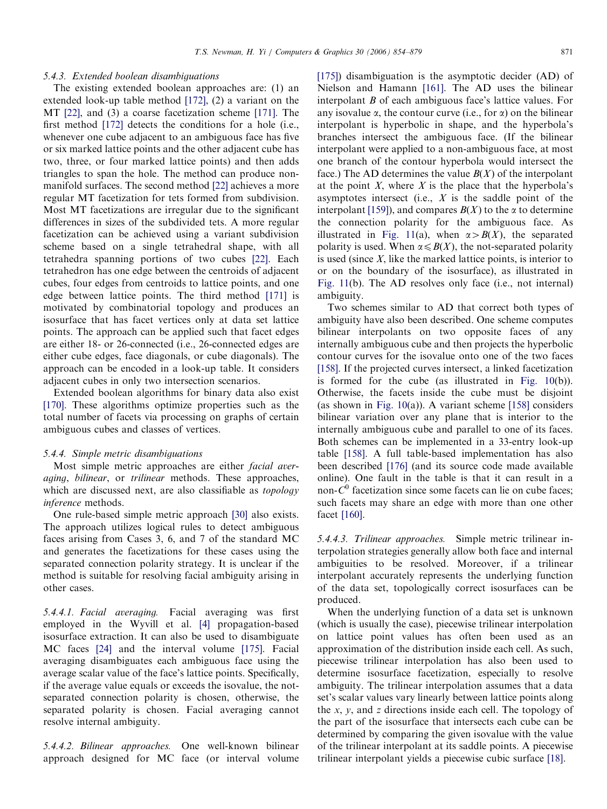#### 5.4.3. Extended boolean disambiguations

The existing extended boolean approaches are: (1) an extended look-up table method [\[172\],](#page-24-0) (2) a variant on the MT [\[22\],](#page-21-0) and (3) a coarse facetization scheme [\[171\]](#page-24-0). The first method [\[172\]](#page-24-0) detects the conditions for a hole (i.e., whenever one cube adjacent to an ambiguous face has five or six marked lattice points and the other adjacent cube has two, three, or four marked lattice points) and then adds triangles to span the hole. The method can produce nonmanifold surfaces. The second method [\[22\]](#page-21-0) achieves a more regular MT facetization for tets formed from subdivision. Most MT facetizations are irregular due to the significant differences in sizes of the subdivided tets. A more regular facetization can be achieved using a variant subdivision scheme based on a single tetrahedral shape, with all tetrahedra spanning portions of two cubes [\[22\].](#page-21-0) Each tetrahedron has one edge between the centroids of adjacent cubes, four edges from centroids to lattice points, and one edge between lattice points. The third method [\[171\]](#page-24-0) is motivated by combinatorial topology and produces an isosurface that has facet vertices only at data set lattice points. The approach can be applied such that facet edges are either 18- or 26-connected (i.e., 26-connected edges are either cube edges, face diagonals, or cube diagonals). The approach can be encoded in a look-up table. It considers adjacent cubes in only two intersection scenarios.

Extended boolean algorithms for binary data also exist [\[170\].](#page-24-0) These algorithms optimize properties such as the total number of facets via processing on graphs of certain ambiguous cubes and classes of vertices.

## 5.4.4. Simple metric disambiguations

Most simple metric approaches are either facial averaging, bilinear, or trilinear methods. These approaches, which are discussed next, are also classifiable as *topology* inference methods.

One rule-based simple metric approach [\[30\]](#page-21-0) also exists. The approach utilizes logical rules to detect ambiguous faces arising from Cases 3, 6, and 7 of the standard MC and generates the facetizations for these cases using the separated connection polarity strategy. It is unclear if the method is suitable for resolving facial ambiguity arising in other cases.

5.4.4.1. Facial averaging. Facial averaging was first employed in the Wyvill et al. [\[4\]](#page-20-0) propagation-based isosurface extraction. It can also be used to disambiguate MC faces [\[24\]](#page-21-0) and the interval volume [\[175\].](#page-24-0) Facial averaging disambiguates each ambiguous face using the average scalar value of the face's lattice points. Specifically, if the average value equals or exceeds the isovalue, the notseparated connection polarity is chosen, otherwise, the separated polarity is chosen. Facial averaging cannot resolve internal ambiguity.

5.4.4.2. Bilinear approaches. One well-known bilinear approach designed for MC face (or interval volume [\[175\]\)](#page-24-0) disambiguation is the asymptotic decider (AD) of Nielson and Hamann [\[161\]](#page-24-0). The AD uses the bilinear interpolant B of each ambiguous face's lattice values. For any isovalue  $\alpha$ , the contour curve (i.e., for  $\alpha$ ) on the bilinear interpolant is hyperbolic in shape, and the hyperbola's branches intersect the ambiguous face. (If the bilinear interpolant were applied to a non-ambiguous face, at most one branch of the contour hyperbola would intersect the face.) The AD determines the value  $B(X)$  of the interpolant at the point  $X$ , where  $X$  is the place that the hyperbola's asymptotes intersect (i.e.,  $X$  is the saddle point of the interpolant [\[159\]\)](#page-24-0), and compares  $B(X)$  to the  $\alpha$  to determine the connection polarity for the ambiguous face. As illustrated in [Fig. 11\(](#page-16-0)a), when  $\alpha > B(X)$ , the separated polarity is used. When  $\alpha \leq B(X)$ , the not-separated polarity is used (since  $X$ , like the marked lattice points, is interior to or on the boundary of the isosurface), as illustrated in [Fig. 11\(](#page-16-0)b). The AD resolves only face (i.e., not internal) ambiguity.

Two schemes similar to AD that correct both types of ambiguity have also been described. One scheme computes bilinear interpolants on two opposite faces of any internally ambiguous cube and then projects the hyperbolic contour curves for the isovalue onto one of the two faces [\[158\].](#page-24-0) If the projected curves intersect, a linked facetization is formed for the cube (as illustrated in [Fig. 10](#page-15-0)(b)). Otherwise, the facets inside the cube must be disjoint (as shown in [Fig. 10\(](#page-15-0)a)). A variant scheme  $[158]$  considers bilinear variation over any plane that is interior to the internally ambiguous cube and parallel to one of its faces. Both schemes can be implemented in a 33-entry look-up table [\[158\]](#page-24-0). A full table-based implementation has also been described [\[176\]](#page-24-0) (and its source code made available online). One fault in the table is that it can result in a non- $C<sup>0</sup>$  facetization since some facets can lie on cube faces; such facets may share an edge with more than one other facet [\[160\].](#page-24-0)

5.4.4.3. Trilinear approaches. Simple metric trilinear interpolation strategies generally allow both face and internal ambiguities to be resolved. Moreover, if a trilinear interpolant accurately represents the underlying function of the data set, topologically correct isosurfaces can be produced.

When the underlying function of a data set is unknown (which is usually the case), piecewise trilinear interpolation on lattice point values has often been used as an approximation of the distribution inside each cell. As such, piecewise trilinear interpolation has also been used to determine isosurface facetization, especially to resolve ambiguity. The trilinear interpolation assumes that a data set's scalar values vary linearly between lattice points along the  $x$ ,  $y$ , and  $z$  directions inside each cell. The topology of the part of the isosurface that intersects each cube can be determined by comparing the given isovalue with the value of the trilinear interpolant at its saddle points. A piecewise trilinear interpolant yields a piecewise cubic surface [\[18\].](#page-21-0)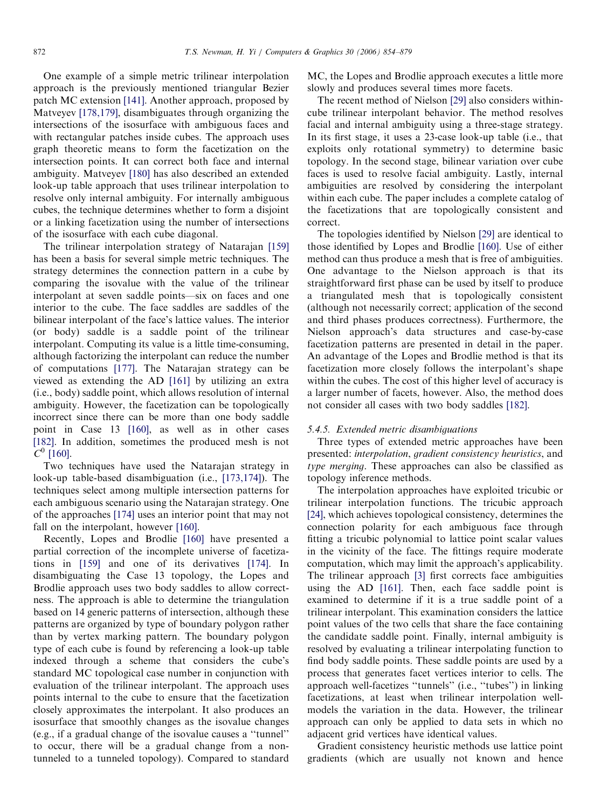One example of a simple metric trilinear interpolation approach is the previously mentioned triangular Bezier patch MC extension [\[141\].](#page-23-0) Another approach, proposed by Matveyev [\[178,179\],](#page-24-0) disambiguates through organizing the intersections of the isosurface with ambiguous faces and with rectangular patches inside cubes. The approach uses graph theoretic means to form the facetization on the intersection points. It can correct both face and internal ambiguity. Matveyev [\[180\]](#page-24-0) has also described an extended look-up table approach that uses trilinear interpolation to resolve only internal ambiguity. For internally ambiguous cubes, the technique determines whether to form a disjoint or a linking facetization using the number of intersections of the isosurface with each cube diagonal.

The trilinear interpolation strategy of Natarajan [\[159\]](#page-24-0) has been a basis for several simple metric techniques. The strategy determines the connection pattern in a cube by comparing the isovalue with the value of the trilinear interpolant at seven saddle points—six on faces and one interior to the cube. The face saddles are saddles of the bilinear interpolant of the face's lattice values. The interior (or body) saddle is a saddle point of the trilinear interpolant. Computing its value is a little time-consuming, although factorizing the interpolant can reduce the number of computations [\[177\]](#page-24-0). The Natarajan strategy can be viewed as extending the AD [\[161\]](#page-24-0) by utilizing an extra (i.e., body) saddle point, which allows resolution of internal ambiguity. However, the facetization can be topologically incorrect since there can be more than one body saddle point in Case 13 [\[160\]](#page-24-0), as well as in other cases [\[182\]](#page-24-0). In addition, sometimes the produced mesh is not  $C^0$  [\[160\]](#page-24-0).

Two techniques have used the Natarajan strategy in look-up table-based disambiguation (i.e., [\[173,174\]](#page-24-0)). The techniques select among multiple intersection patterns for each ambiguous scenario using the Natarajan strategy. One of the approaches [\[174\]](#page-24-0) uses an interior point that may not fall on the interpolant, however [\[160\]](#page-24-0).

Recently, Lopes and Brodlie [\[160\]](#page-24-0) have presented a partial correction of the incomplete universe of facetizations in [\[159\]](#page-24-0) and one of its derivatives [\[174\].](#page-24-0) In disambiguating the Case 13 topology, the Lopes and Brodlie approach uses two body saddles to allow correctness. The approach is able to determine the triangulation based on 14 generic patterns of intersection, although these patterns are organized by type of boundary polygon rather than by vertex marking pattern. The boundary polygon type of each cube is found by referencing a look-up table indexed through a scheme that considers the cube's standard MC topological case number in conjunction with evaluation of the trilinear interpolant. The approach uses points internal to the cube to ensure that the facetization closely approximates the interpolant. It also produces an isosurface that smoothly changes as the isovalue changes (e.g., if a gradual change of the isovalue causes a ''tunnel'' to occur, there will be a gradual change from a nontunneled to a tunneled topology). Compared to standard MC, the Lopes and Brodlie approach executes a little more slowly and produces several times more facets.

The recent method of Nielson [\[29\]](#page-21-0) also considers withincube trilinear interpolant behavior. The method resolves facial and internal ambiguity using a three-stage strategy. In its first stage, it uses a 23-case look-up table (i.e., that exploits only rotational symmetry) to determine basic topology. In the second stage, bilinear variation over cube faces is used to resolve facial ambiguity. Lastly, internal ambiguities are resolved by considering the interpolant within each cube. The paper includes a complete catalog of the facetizations that are topologically consistent and correct.

The topologies identified by Nielson [\[29\]](#page-21-0) are identical to those identified by Lopes and Brodlie [\[160\].](#page-24-0) Use of either method can thus produce a mesh that is free of ambiguities. One advantage to the Nielson approach is that its straightforward first phase can be used by itself to produce a triangulated mesh that is topologically consistent (although not necessarily correct; application of the second and third phases produces correctness). Furthermore, the Nielson approach's data structures and case-by-case facetization patterns are presented in detail in the paper. An advantage of the Lopes and Brodlie method is that its facetization more closely follows the interpolant's shape within the cubes. The cost of this higher level of accuracy is a larger number of facets, however. Also, the method does not consider all cases with two body saddles [\[182\]](#page-24-0).

# 5.4.5. Extended metric disambiguations

Three types of extended metric approaches have been presented: interpolation, gradient consistency heuristics, and type merging. These approaches can also be classified as topology inference methods.

The interpolation approaches have exploited tricubic or trilinear interpolation functions. The tricubic approach [\[24\]](#page-21-0), which achieves topological consistency, determines the connection polarity for each ambiguous face through fitting a tricubic polynomial to lattice point scalar values in the vicinity of the face. The fittings require moderate computation, which may limit the approach's applicability. The trilinear approach [\[3\]](#page-20-0) first corrects face ambiguities using the AD [\[161\].](#page-24-0) Then, each face saddle point is examined to determine if it is a true saddle point of a trilinear interpolant. This examination considers the lattice point values of the two cells that share the face containing the candidate saddle point. Finally, internal ambiguity is resolved by evaluating a trilinear interpolating function to find body saddle points. These saddle points are used by a process that generates facet vertices interior to cells. The approach well-facetizes ''tunnels'' (i.e., ''tubes'') in linking facetizations, at least when trilinear interpolation wellmodels the variation in the data. However, the trilinear approach can only be applied to data sets in which no adjacent grid vertices have identical values.

Gradient consistency heuristic methods use lattice point gradients (which are usually not known and hence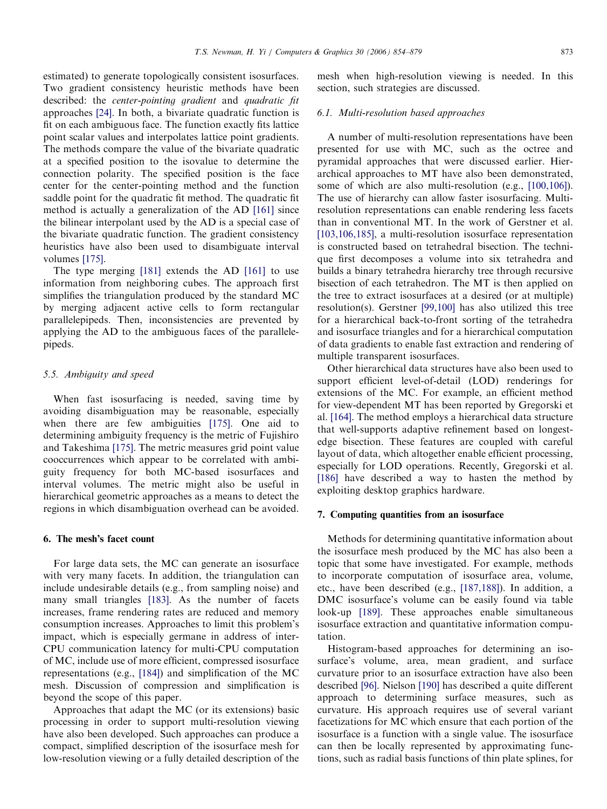mesh when high-resolution viewing is needed. In this

estimated) to generate topologically consistent isosurfaces. Two gradient consistency heuristic methods have been described: the center-pointing gradient and quadratic fit approaches [\[24\].](#page-21-0) In both, a bivariate quadratic function is fit on each ambiguous face. The function exactly fits lattice point scalar values and interpolates lattice point gradients. The methods compare the value of the bivariate quadratic at a specified position to the isovalue to determine the connection polarity. The specified position is the face center for the center-pointing method and the function saddle point for the quadratic fit method. The quadratic fit method is actually a generalization of the AD [\[161\]](#page-24-0) since the bilinear interpolant used by the AD is a special case of the bivariate quadratic function. The gradient consistency heuristics have also been used to disambiguate interval volumes [\[175\]](#page-24-0).

The type merging [\[181\]](#page-24-0) extends the AD [\[161\]](#page-24-0) to use information from neighboring cubes. The approach first simplifies the triangulation produced by the standard MC by merging adjacent active cells to form rectangular parallelepipeds. Then, inconsistencies are prevented by applying the AD to the ambiguous faces of the parallelepipeds.

## 5.5. Ambiguity and speed

When fast isosurfacing is needed, saving time by avoiding disambiguation may be reasonable, especially when there are few ambiguities [\[175\].](#page-24-0) One aid to determining ambiguity frequency is the metric of Fujishiro and Takeshima [\[175\].](#page-24-0) The metric measures grid point value cooccurrences which appear to be correlated with ambiguity frequency for both MC-based isosurfaces and interval volumes. The metric might also be useful in hierarchical geometric approaches as a means to detect the regions in which disambiguation overhead can be avoided.

# 6. The mesh's facet count

For large data sets, the MC can generate an isosurface with very many facets. In addition, the triangulation can include undesirable details (e.g., from sampling noise) and many small triangles [\[183\].](#page-24-0) As the number of facets increases, frame rendering rates are reduced and memory consumption increases. Approaches to limit this problem's impact, which is especially germane in address of inter-CPU communication latency for multi-CPU computation of MC, include use of more efficient, compressed isosurface representations (e.g., [\[184\]\)](#page-24-0) and simplification of the MC mesh. Discussion of compression and simplification is beyond the scope of this paper.

Approaches that adapt the MC (or its extensions) basic processing in order to support multi-resolution viewing have also been developed. Such approaches can produce a compact, simplified description of the isosurface mesh for low-resolution viewing or a fully detailed description of the 6.1. Multi-resolution based approaches

section, such strategies are discussed.

A number of multi-resolution representations have been presented for use with MC, such as the octree and pyramidal approaches that were discussed earlier. Hierarchical approaches to MT have also been demonstrated, some of which are also multi-resolution (e.g., [\[100,106\]\)](#page-22-0). The use of hierarchy can allow faster isosurfacing. Multiresolution representations can enable rendering less facets than in conventional MT. In the work of Gerstner et al. [\[103,106,185\]](#page-23-0), a multi-resolution isosurface representation is constructed based on tetrahedral bisection. The technique first decomposes a volume into six tetrahedra and builds a binary tetrahedra hierarchy tree through recursive bisection of each tetrahedron. The MT is then applied on the tree to extract isosurfaces at a desired (or at multiple) resolution(s). Gerstner [\[99,100\]](#page-22-0) has also utilized this tree for a hierarchical back-to-front sorting of the tetrahedra and isosurface triangles and for a hierarchical computation of data gradients to enable fast extraction and rendering of multiple transparent isosurfaces.

Other hierarchical data structures have also been used to support efficient level-of-detail (LOD) renderings for extensions of the MC. For example, an efficient method for view-dependent MT has been reported by Gregorski et al. [\[164\]](#page-24-0). The method employs a hierarchical data structure that well-supports adaptive refinement based on longestedge bisection. These features are coupled with careful layout of data, which altogether enable efficient processing, especially for LOD operations. Recently, Gregorski et al. [\[186\]](#page-24-0) have described a way to hasten the method by exploiting desktop graphics hardware.

# 7. Computing quantities from an isosurface

Methods for determining quantitative information about the isosurface mesh produced by the MC has also been a topic that some have investigated. For example, methods to incorporate computation of isosurface area, volume, etc., have been described (e.g., [\[187,188\]](#page-24-0)). In addition, a DMC isosurface's volume can be easily found via table look-up [\[189\]](#page-24-0). These approaches enable simultaneous isosurface extraction and quantitative information computation.

Histogram-based approaches for determining an isosurface's volume, area, mean gradient, and surface curvature prior to an isosurface extraction have also been described [\[96\].](#page-22-0) Nielson [\[190\]](#page-25-0) has described a quite different approach to determining surface measures, such as curvature. His approach requires use of several variant facetizations for MC which ensure that each portion of the isosurface is a function with a single value. The isosurface can then be locally represented by approximating functions, such as radial basis functions of thin plate splines, for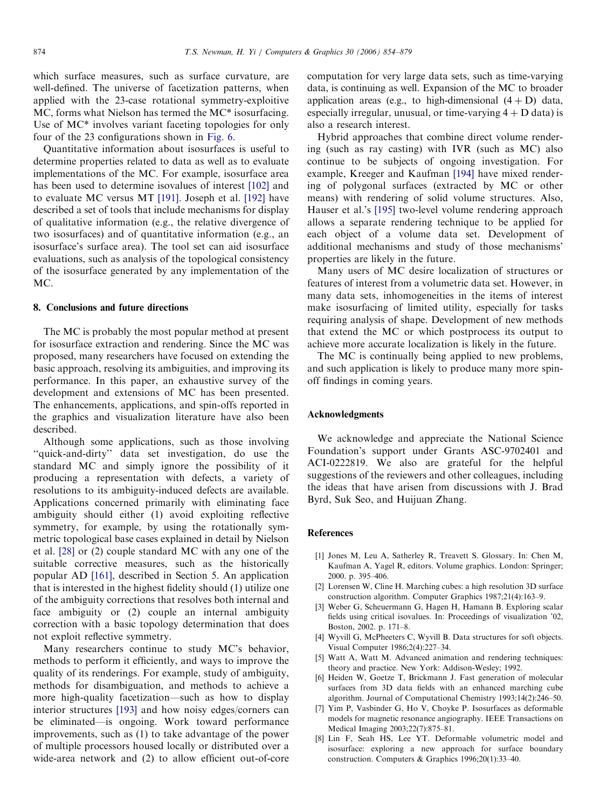<span id="page-20-0"></span>which surface measures, such as surface curvature, are well-defined. The universe of facetization patterns, when applied with the 23-case rotational symmetry-exploitive MC, forms what Nielson has termed the MC\* isosurfacing. Use of MC\* involves variant faceting topologies for only four of the 23 configurations shown in [Fig. 6](#page-3-0).

Quantitative information about isosurfaces is useful to determine properties related to data as well as to evaluate implementations of the MC. For example, isosurface area has been used to determine isovalues of interest [\[102\]](#page-23-0) and to evaluate MC versus MT [\[191\]](#page-25-0). Joseph et al. [\[192\]](#page-25-0) have described a set of tools that include mechanisms for display of qualitative information (e.g., the relative divergence of two isosurfaces) and of quantitative information (e.g., an isosurface's surface area). The tool set can aid isosurface evaluations, such as analysis of the topological consistency of the isosurface generated by any implementation of the MC.

#### 8. Conclusions and future directions

The MC is probably the most popular method at present for isosurface extraction and rendering. Since the MC was proposed, many researchers have focused on extending the basic approach, resolving its ambiguities, and improving its performance. In this paper, an exhaustive survey of the development and extensions of MC has been presented. The enhancements, applications, and spin-offs reported in the graphics and visualization literature have also been described.

Although some applications, such as those involving ''quick-and-dirty'' data set investigation, do use the standard MC and simply ignore the possibility of it producing a representation with defects, a variety of resolutions to its ambiguity-induced defects are available. Applications concerned primarily with eliminating face ambiguity should either (1) avoid exploiting reflective symmetry, for example, by using the rotationally symmetric topological base cases explained in detail by Nielson et al. [\[28\]](#page-21-0) or (2) couple standard MC with any one of the suitable corrective measures, such as the historically popular AD [\[161\]](#page-24-0), described in Section 5. An application that is interested in the highest fidelity should (1) utilize one of the ambiguity corrections that resolves both internal and face ambiguity or (2) couple an internal ambiguity correction with a basic topology determination that does not exploit reflective symmetry.

Many researchers continue to study MC's behavior, methods to perform it efficiently, and ways to improve the quality of its renderings. For example, study of ambiguity, methods for disambiguation, and methods to achieve a more high-quality facetization—such as how to display interior structures [\[193\]](#page-25-0) and how noisy edges/corners can be eliminated—is ongoing. Work toward performance improvements, such as (1) to take advantage of the power of multiple processors housed locally or distributed over a wide-area network and (2) to allow efficient out-of-core computation for very large data sets, such as time-varying data, is continuing as well. Expansion of the MC to broader application areas (e.g., to high-dimensional  $(4 + D)$  data, especially irregular, unusual, or time-varying  $4 + D$  data) is also a research interest.

Hybrid approaches that combine direct volume rendering (such as ray casting) with IVR (such as MC) also continue to be subjects of ongoing investigation. For example, Kreeger and Kaufman [\[194\]](#page-25-0) have mixed rendering of polygonal surfaces (extracted by MC or other means) with rendering of solid volume structures. Also, Hauser et al.'s [\[195\]](#page-25-0) two-level volume rendering approach allows a separate rendering technique to be applied for each object of a volume data set. Development of additional mechanisms and study of those mechanisms' properties are likely in the future.

Many users of MC desire localization of structures or features of interest from a volumetric data set. However, in many data sets, inhomogeneities in the items of interest make isosurfacing of limited utility, especially for tasks requiring analysis of shape. Development of new methods that extend the MC or which postprocess its output to achieve more accurate localization is likely in the future.

The MC is continually being applied to new problems, and such application is likely to produce many more spinoff findings in coming years.

## Acknowledgments

We acknowledge and appreciate the National Science Foundation's support under Grants ASC-9702401 and ACI-0222819. We also are grateful for the helpful suggestions of the reviewers and other colleagues, including the ideas that have arisen from discussions with J. Brad Byrd, Suk Seo, and Huijuan Zhang.

#### References

- [1] Jones M, Leu A, Satherley R, Treavett S. Glossary. In: Chen M, Kaufman A, Yagel R, editors. Volume graphics. London: Springer; 2000. p. 395–406.
- [2] Lorensen W, Cline H. Marching cubes: a high resolution 3D surface construction algorithm. Computer Graphics 1987;21(4):163–9.
- [3] Weber G, Scheuermann G, Hagen H, Hamann B. Exploring scalar fields using critical isovalues. In: Proceedings of visualization '02, Boston, 2002. p. 171–8.
- [4] Wyvill G, McPheeters C, Wyvill B. Data structures for soft objects. Visual Computer 1986;2(4):227–34.
- [5] Watt A, Watt M. Advanced animation and rendering techniques: theory and practice. New York: Addison-Wesley; 1992.
- [6] Heiden W, Goetze T, Brickmann J. Fast generation of molecular surfaces from 3D data fields with an enhanced marching cube algorithm. Journal of Computational Chemistry 1993;14(2):246–50.
- [7] Yim P, Vasbinder G, Ho V, Choyke P. Isosurfaces as deformable models for magnetic resonance angiography. IEEE Transactions on Medical Imaging 2003;22(7):875–81.
- [8] Lin F, Seah HS, Lee YT. Deformable volumetric model and isosurface: exploring a new approach for surface boundary construction. Computers & Graphics 1996;20(1):33–40.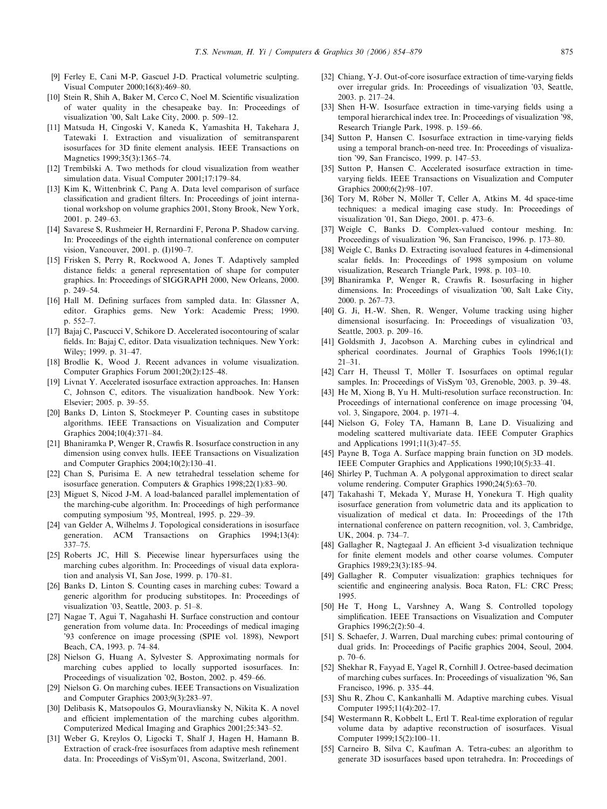- <span id="page-21-0"></span>[9] Ferley E, Cani M-P, Gascuel J-D. Practical volumetric sculpting. Visual Computer 2000;16(8):469–80.
- [10] Stein R, Shih A, Baker M, Cerco C, Noel M. Scientific visualization of water quality in the chesapeake bay. In: Proceedings of visualization '00, Salt Lake City, 2000. p. 509–12.
- [11] Matsuda H, Cingoski V, Kaneda K, Yamashita H, Takehara J, Tatewaki I. Extraction and visualization of semitransparent isosurfaces for 3D finite element analysis. IEEE Transactions on Magnetics 1999;35(3):1365–74.
- [12] Trembilski A. Two methods for cloud visualization from weather simulation data. Visual Computer 2001;17:179–84.
- [13] Kim K, Wittenbrink C, Pang A. Data level comparison of surface classification and gradient filters. In: Proceedings of joint international workshop on volume graphics 2001, Stony Brook, New York, 2001. p. 249–63.
- [14] Savarese S, Rushmeier H, Rernardini F, Perona P. Shadow carving. In: Proceedings of the eighth international conference on computer vision, Vancouver, 2001. p. (I)190–7.
- [15] Frisken S, Perry R, Rockwood A, Jones T. Adaptively sampled distance fields: a general representation of shape for computer graphics. In: Proceedings of SIGGRAPH 2000, New Orleans, 2000. p. 249–54.
- [16] Hall M. Defining surfaces from sampled data. In: Glassner A, editor. Graphics gems. New York: Academic Press; 1990. p. 552–7.
- [17] Bajaj C, Pascucci V, Schikore D. Accelerated isocontouring of scalar fields. In: Bajaj C, editor. Data visualization techniques. New York: Wiley; 1999. p. 31–47.
- [18] Brodlie K, Wood J. Recent advances in volume visualization. Computer Graphics Forum 2001;20(2):125–48.
- [19] Livnat Y. Accelerated isosurface extraction approaches. In: Hansen C, Johnson C, editors. The visualization handbook. New York: Elsevier; 2005. p. 39–55.
- [20] Banks D, Linton S, Stockmeyer P. Counting cases in substitope algorithms. IEEE Transactions on Visualization and Computer Graphics 2004;10(4):371–84.
- [21] Bhaniramka P, Wenger R, Crawfis R. Isosurface construction in any dimension using convex hulls. IEEE Transactions on Visualization and Computer Graphics 2004;10(2):130–41.
- [22] Chan S, Purisima E. A new tetrahedral tesselation scheme for isosurface generation. Computers & Graphics 1998;22(1):83–90.
- [23] Miguet S, Nicod J-M. A load-balanced parallel implementation of the marching-cube algorithm. In: Proceedings of high performance computing symposium '95, Montreal, 1995. p. 229–39.
- [24] van Gelder A, Wilhelms J. Topological considerations in isosurface generation. ACM Transactions on Graphics 1994;13(4): 337–75.
- [25] Roberts JC, Hill S. Piecewise linear hypersurfaces using the marching cubes algorithm. In: Proceedings of visual data exploration and analysis VI, San Jose, 1999. p. 170–81.
- [26] Banks D, Linton S. Counting cases in marching cubes: Toward a generic algorithm for producing substitopes. In: Proceedings of visualization '03, Seattle, 2003. p. 51–8.
- [27] Nagae T, Agui T, Nagahashi H. Surface construction and contour generation from volume data. In: Proceedings of medical imaging '93 conference on image processing (SPIE vol. 1898), Newport Beach, CA, 1993. p. 74–84.
- [28] Nielson G, Huang A, Sylvester S. Approximating normals for marching cubes applied to locally supported isosurfaces. In: Proceedings of visualization '02, Boston, 2002. p. 459–66.
- [29] Nielson G. On marching cubes. IEEE Transactions on Visualization and Computer Graphics 2003;9(3):283–97.
- [30] Delibasis K, Matsopoulos G, Mouravliansky N, Nikita K. A novel and efficient implementation of the marching cubes algorithm. Computerized Medical Imaging and Graphics 2001;25:343–52.
- [31] Weber G, Kreylos O, Ligocki T, Shalf J, Hagen H, Hamann B. Extraction of crack-free isosurfaces from adaptive mesh refinement data. In: Proceedings of VisSym'01, Ascona, Switzerland, 2001.
- [32] Chiang, Y-J. Out-of-core isosurface extraction of time-varying fields over irregular grids. In: Proceedings of visualization '03, Seattle, 2003. p. 217–24.
- [33] Shen H-W. Isosurface extraction in time-varying fields using a temporal hierarchical index tree. In: Proceedings of visualization '98, Research Triangle Park, 1998. p. 159–66.
- [34] Sutton P, Hansen C. Isosurface extraction in time-varying fields using a temporal branch-on-need tree. In: Proceedings of visualization '99, San Francisco, 1999. p. 147–53.
- [35] Sutton P, Hansen C. Accelerated isosurface extraction in timevarying fields. IEEE Transactions on Visualization and Computer Graphics 2000;6(2):98–107.
- [36] Tory M, Röber N, Möller T, Celler A, Atkins M. 4d space-time techniques: a medical imaging case study. In: Proceedings of visualization '01, San Diego, 2001. p. 473–6.
- [37] Weigle C, Banks D. Complex-valued contour meshing. In: Proceedings of visualization '96, San Francisco, 1996. p. 173–80.
- [38] Weigle C, Banks D. Extracting isovalued features in 4-dimensional scalar fields. In: Proceedings of 1998 symposium on volume visualization, Research Triangle Park, 1998. p. 103–10.
- [39] Bhaniramka P, Wenger R, Crawfis R. Isosurfacing in higher dimensions. In: Proceedings of visualization '00, Salt Lake City, 2000. p. 267–73.
- [40] G. Ji, H.-W. Shen, R. Wenger, Volume tracking using higher dimensional isosurfacing. In: Proceedings of visualization '03, Seattle, 2003. p. 209–16.
- [41] Goldsmith J, Jacobson A. Marching cubes in cylindrical and spherical coordinates. Journal of Graphics Tools 1996;1(1): 21–31.
- [42] Carr H, Theussl T, Möller T. Isosurfaces on optimal regular samples. In: Proceedings of VisSym '03, Grenoble, 2003. p. 39–48.
- [43] He M, Xiong B, Yu H. Multi-resolution surface reconstruction. In: Proceedings of international conference on image processing '04, vol. 3, Singapore, 2004. p. 1971–4.
- [44] Nielson G, Foley TA, Hamann B, Lane D. Visualizing and modeling scattered multivariate data. IEEE Computer Graphics and Applications 1991;11(3):47–55.
- [45] Payne B, Toga A. Surface mapping brain function on 3D models. IEEE Computer Graphics and Applications 1990;10(5):33–41.
- [46] Shirley P, Tuchman A. A polygonal approximation to direct scalar volume rendering. Computer Graphics 1990;24(5):63–70.
- [47] Takahashi T, Mekada Y, Murase H, Yonekura T. High quality isosurface generation from volumetric data and its application to visualization of medical ct data. In: Proceedings of the 17th international conference on pattern recognition, vol. 3, Cambridge, UK, 2004. p. 734–7.
- [48] Gallagher R, Nagtegaal J. An efficient 3-d visualization technique for finite element models and other coarse volumes. Computer Graphics 1989;23(3):185–94.
- [49] Gallagher R. Computer visualization: graphics techniques for scientific and engineering analysis. Boca Raton, FL: CRC Press; 1995.
- [50] He T, Hong L, Varshney A, Wang S. Controlled topology simplification. IEEE Transactions on Visualization and Computer Graphics 1996;2(2):50–4.
- [51] S. Schaefer, J. Warren, Dual marching cubes: primal contouring of dual grids. In: Proceedings of Pacific graphics 2004, Seoul, 2004. p. 70–6.
- [52] Shekhar R, Fayyad E, Yagel R, Cornhill J. Octree-based decimation of marching cubes surfaces. In: Proceedings of visualization '96, San Francisco, 1996. p. 335–44.
- [53] Shu R, Zhou C, Kankanhalli M. Adaptive marching cubes. Visual Computer 1995;11(4):202–17.
- [54] Westermann R, Kobbelt L, Ertl T. Real-time exploration of regular volume data by adaptive reconstruction of isosurfaces. Visual Computer 1999;15(2):100–11.
- [55] Carneiro B, Silva C, Kaufman A. Tetra-cubes: an algorithm to generate 3D isosurfaces based upon tetrahedra. In: Proceedings of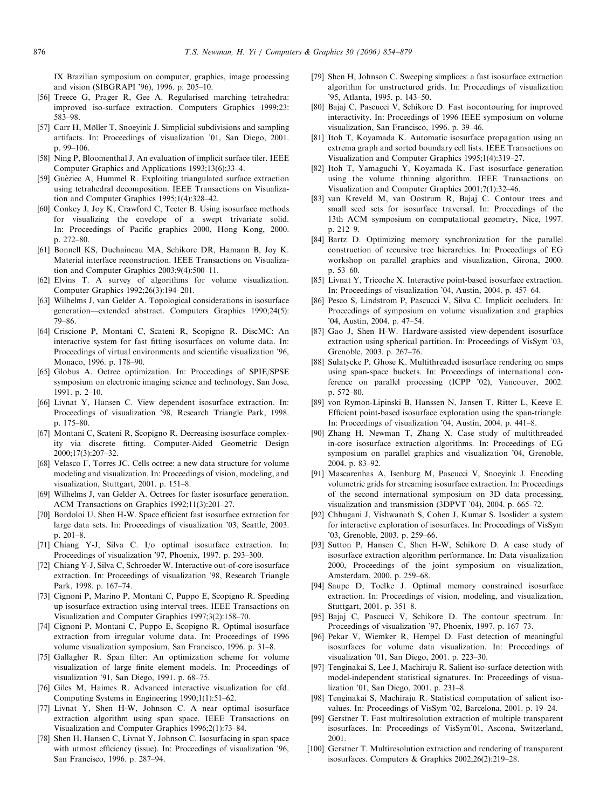<span id="page-22-0"></span>IX Brazilian symposium on computer, graphics, image processing and vision (SIBGRAPI '96), 1996. p. 205–10.

- [56] Treece G, Prager R, Gee A. Regularised marching tetrahedra: improved iso-surface extraction. Computers Graphics 1999;23: 583–98.
- [57] Carr H, Möller T, Snoeyink J. Simplicial subdivisions and sampling artifacts. In: Proceedings of visualization '01, San Diego, 2001. p. 99–106.
- [58] Ning P, Bloomenthal J. An evaluation of implicit surface tiler. IEEE Computer Graphics and Applications 1993;13(6):33–4.
- [59] Guéziec A, Hummel R. Exploiting triangulated surface extraction using tetrahedral decomposition. IEEE Transactions on Visualization and Computer Graphics 1995;1(4):328–42.
- [60] Conkey J, Joy K, Crawford C, Teeter B. Using isosurface methods for visualizing the envelope of a swept trivariate solid. In: Proceedings of Pacific graphics 2000, Hong Kong, 2000. p. 272–80.
- [61] Bonnell KS, Duchaineau MA, Schikore DR, Hamann B, Joy K. Material interface reconstruction. IEEE Transactions on Visualization and Computer Graphics 2003;9(4):500–11.
- [62] Elvins T. A survey of algorithms for volume visualization. Computer Graphics 1992;26(3):194–201.
- [63] Wilhelms J, van Gelder A. Topological considerations in isosurface generation—extended abstract. Computers Graphics 1990;24(5): 79–86.
- [64] Criscione P, Montani C, Scateni R, Scopigno R. DiscMC: An interactive system for fast fitting isosurfaces on volume data. In: Proceedings of virtual environments and scientific visualization '96, Monaco, 1996. p. 178–90.
- [65] Globus A. Octree optimization. In: Proceedings of SPIE/SPSE symposium on electronic imaging science and technology, San Jose, 1991. p. 2–10.
- [66] Livnat Y, Hansen C. View dependent isosurface extraction. In: Proceedings of visualization '98, Research Triangle Park, 1998. p. 175–80.
- [67] Montani C, Scateni R, Scopigno R. Decreasing isosurface complexity via discrete fitting. Computer-Aided Geometric Design 2000;17(3):207–32.
- [68] Velasco F, Torres JC. Cells octree: a new data structure for volume modeling and visualization. In: Proceedings of vision, modeling, and visualization, Stuttgart, 2001. p. 151–8.
- [69] Wilhelms J, van Gelder A. Octrees for faster isosurface generation. ACM Transactions on Graphics 1992;11(3):201–27.
- [70] Bordoloi U, Shen H-W. Space efficient fast isosurface extraction for large data sets. In: Proceedings of visualization '03, Seattle, 2003. p. 201–8.
- [71] Chiang Y-J, Silva C. I/o optimal isosurface extraction. In: Proceedings of visualization '97, Phoenix, 1997. p. 293–300.
- [72] Chiang Y-J, Silva C, Schroeder W. Interactive out-of-core isosurface extraction. In: Proceedings of visualization '98, Research Triangle Park, 1998. p. 167–74.
- [73] Cignoni P, Marino P, Montani C, Puppo E, Scopigno R. Speeding up isosurface extraction using interval trees. IEEE Transactions on Visualization and Computer Graphics 1997;3(2):158–70.
- [74] Cignoni P, Montani C, Puppo E, Scopigno R. Optimal isosurface extraction from irregular volume data. In: Proceedings of 1996 volume visualization symposium, San Francisco, 1996. p. 31–8.
- [75] Gallagher R. Span filter: An optimization scheme for volume visualization of large finite element models. In: Proceedings of visualization '91, San Diego, 1991. p. 68–75.
- [76] Giles M, Haimes R. Advanced interactive visualization for cfd. Computing Systems in Engineering 1990;1(1):51–62.
- [77] Livnat Y, Shen H-W, Johnson C. A near optimal isosurface extraction algorithm using span space. IEEE Transactions on Visualization and Computer Graphics 1996;2(1):73–84.
- [78] Shen H, Hansen C, Livnat Y, Johnson C. Isosurfacing in span space with utmost efficiency (issue). In: Proceedings of visualization '96, San Francisco, 1996. p. 287–94.
- [79] Shen H, Johnson C. Sweeping simplices: a fast isosurface extraction algorithm for unstructured grids. In: Proceedings of visualization '95, Atlanta, 1995. p. 143–50.
- [80] Bajaj C, Pascucci V, Schikore D. Fast isocontouring for improved interactivity. In: Proceedings of 1996 IEEE symposium on volume visualization, San Francisco, 1996. p. 39–46.
- [81] Itoh T, Koyamada K. Automatic isosurface propagation using an extrema graph and sorted boundary cell lists. IEEE Transactions on Visualization and Computer Graphics 1995;1(4):319–27.
- [82] Itoh T, Yamaguchi Y, Koyamada K. Fast isosurface generation using the volume thinning algorithm. IEEE Transactions on Visualization and Computer Graphics 2001;7(1):32–46.
- [83] van Kreveld M, van Oostrum R, Bajaj C. Contour trees and small seed sets for isosurface traversal. In: Proceedings of the 13th ACM symposium on computational geometry, Nice, 1997. p. 212–9.
- [84] Bartz D. Optimizing memory synchronization for the parallel construction of recursive tree hierarchies. In: Proceedings of EG workshop on parallel graphics and visualization, Girona, 2000. p. 53–60.
- [85] Livnat Y, Tricoche X. Interactive point-based isosurface extraction. In: Proceedings of visualization '04, Austin, 2004. p. 457–64.
- [86] Pesco S, Lindstrom P, Pascucci V, Silva C. Implicit occluders. In: Proceedings of symposium on volume visualization and graphics '04, Austin, 2004. p. 47–54.
- [87] Gao J, Shen H-W. Hardware-assisted view-dependent isosurface extraction using spherical partition. In: Proceedings of VisSym '03, Grenoble, 2003. p. 267–76.
- [88] Sulatycke P, Ghose K. Multithreaded isosurface rendering on smps using span-space buckets. In: Proceedings of international conference on parallel processing (ICPP '02), Vancouver, 2002. p. 572–80.
- [89] von Rymon-Lipinski B, Hanssen N, Jansen T, Ritter L, Keeve E. Efficient point-based isosurface exploration using the span-triangle. In: Proceedings of visualization '04, Austin, 2004. p. 441–8.
- [90] Zhang H, Newman T, Zhang X. Case study of multithreaded in-core isosurface extraction algorithms. In: Proceedings of EG symposium on parallel graphics and visualization '04, Grenoble, 2004. p. 83–92.
- [91] Mascarenhas A, Isenburg M, Pascucci V, Snoeyink J. Encoding volumetric grids for streaming isosurface extraction. In: Proceedings of the second international symposium on 3D data processing, visualization and transmission (3DPVT '04), 2004. p. 665–72.
- [92] Chhugani J, Vishwanath S, Cohen J, Kumar S. Isoslider: a system for interactive exploration of isosurfaces. In: Proceedings of VisSym '03, Grenoble, 2003. p. 259–66.
- [93] Sutton P, Hansen C, Shen H-W, Schikore D. A case study of isosurface extraction algorithm performance. In: Data visualization 2000, Proceedings of the joint symposium on visualization, Amsterdam, 2000. p. 259–68.
- [94] Saupe D, Toelke J. Optimal memory constrained isosurface extraction. In: Proceedings of vision, modeling, and visualization, Stuttgart, 2001. p. 351–8.
- [95] Bajaj C, Pascucci V, Schikore D. The contour spectrum. In: Proceedings of visualization '97, Phoenix, 1997. p. 167–73.
- [96] Pekar V, Wiemker R, Hempel D. Fast detection of meaningful isosurfaces for volume data visualization. In: Proceedings of visualization '01, San Diego, 2001. p. 223–30.
- [97] Tenginakai S, Lee J, Machiraju R. Salient iso-surface detection with model-independent statistical signatures. In: Proceedings of visualization '01, San Diego, 2001. p. 231–8.
- [98] Tenginakai S, Machiraju R. Statistical computation of salient isovalues. In: Proceedings of VisSym '02, Barcelona, 2001. p. 19–24.
- [99] Gerstner T. Fast multiresolution extraction of multiple transparent isosurfaces. In: Proceedings of VisSym'01, Ascona, Switzerland, 2001.
- [100] Gerstner T. Multiresolution extraction and rendering of transparent isosurfaces. Computers & Graphics 2002;26(2):219–28.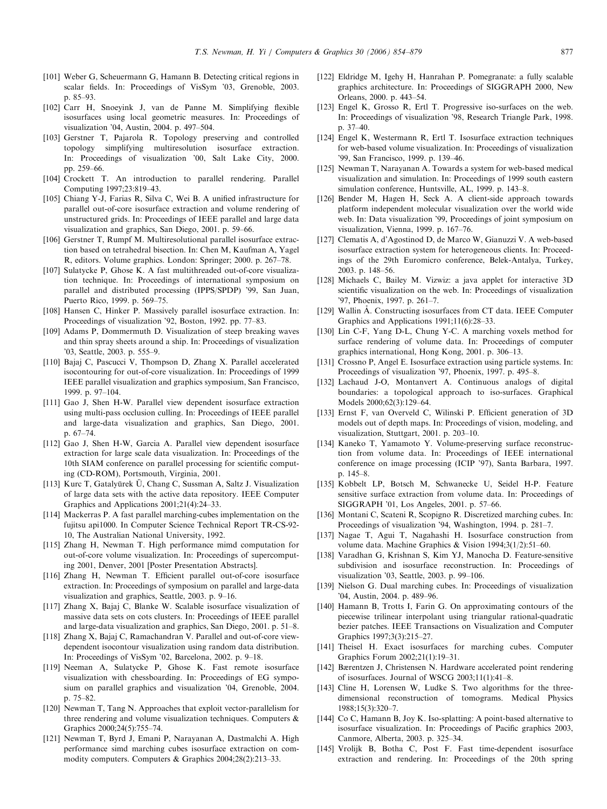- <span id="page-23-0"></span>[101] Weber G, Scheuermann G, Hamann B. Detecting critical regions in scalar fields. In: Proceedings of VisSym '03, Grenoble, 2003. p. 85–93.
- [102] Carr H, Snoeyink J, van de Panne M. Simplifying flexible isosurfaces using local geometric measures. In: Proceedings of visualization '04, Austin, 2004. p. 497–504.
- [103] Gerstner T, Pajarola R. Topology preserving and controlled topology simplifying multiresolution isosurface extraction. In: Proceedings of visualization '00, Salt Lake City, 2000. pp. 259–66.
- [104] Crockett T. An introduction to parallel rendering. Parallel Computing 1997;23:819–43.
- [105] Chiang Y-J, Farias R, Silva C, Wei B. A unified infrastructure for parallel out-of-core isosurface extraction and volume rendering of unstructured grids. In: Proceedings of IEEE parallel and large data visualization and graphics, San Diego, 2001. p. 59–66.
- [106] Gerstner T, Rumpf M. Multiresolutional parallel isosurface extraction based on tetrahedral bisection. In: Chen M, Kaufman A, Yagel R, editors. Volume graphics. London: Springer; 2000. p. 267–78.
- [107] Sulatycke P, Ghose K. A fast multithreaded out-of-core visualization technique. In: Proceedings of international symposium on parallel and distributed processing (IPPS/SPDP) '99, San Juan, Puerto Rico, 1999. p. 569–75.
- [108] Hansen C, Hinker P. Massively parallel isosurface extraction. In: Proceedings of visualization '92, Boston, 1992. pp. 77–83.
- [109] Adams P, Dommermuth D. Visualization of steep breaking waves and thin spray sheets around a ship. In: Proceedings of visualization '03, Seattle, 2003. p. 555–9.
- [110] Bajaj C, Pascucci V, Thompson D, Zhang X. Parallel accelerated isocontouring for out-of-core visualization. In: Proceedings of 1999 IEEE parallel visualization and graphics symposium, San Francisco, 1999. p. 97–104.
- [111] Gao J, Shen H-W. Parallel view dependent isosurface extraction using multi-pass occlusion culling. In: Proceedings of IEEE parallel and large-data visualization and graphics, San Diego, 2001. p. 67–74.
- [112] Gao J, Shen H-W, Garcia A. Parallel view dependent isosurface extraction for large scale data visualization. In: Proceedings of the 10th SIAM conference on parallel processing for scientific computing (CD-ROM), Portsmouth, Virginia, 2001.
- [113] Kurc T, Gatalyürek Ü, Chang C, Sussman A, Saltz J. Visualization of large data sets with the active data repository. IEEE Computer Graphics and Applications 2001;21(4):24–33.
- [114] Mackerras P. A fast parallel marching-cubes implementation on the fujitsu api1000. In Computer Science Technical Report TR-CS-92- 10, The Australian National University, 1992.
- [115] Zhang H, Newman T. High performance mimd computation for out-of-core volume visualization. In: Proceedings of supercomputing 2001, Denver, 2001 [Poster Presentation Abstracts].
- [116] Zhang H, Newman T. Efficient parallel out-of-core isosurface extraction. In: Proceedings of symposium on parallel and large-data visualization and graphics, Seattle, 2003. p. 9–16.
- [117] Zhang X, Bajaj C, Blanke W. Scalable isosurface visualization of massive data sets on cots clusters. In: Proceedings of IEEE parallel and large-data visualization and graphics, San Diego, 2001. p. 51–8.
- [118] Zhang X, Bajaj C, Ramachandran V. Parallel and out-of-core viewdependent isocontour visualization using random data distribution. In: Proceedings of VisSym '02, Barcelona, 2002. p. 9–18.
- [119] Neeman A, Sulatycke P, Ghose K. Fast remote isosurface visualization with chessboarding. In: Proceedings of EG symposium on parallel graphics and visualization '04, Grenoble, 2004. p. 75–82.
- [120] Newman T, Tang N. Approaches that exploit vector-parallelism for three rendering and volume visualization techniques. Computers & Graphics 2000;24(5):755–74.
- [121] Newman T, Byrd J, Emani P, Narayanan A, Dastmalchi A. High performance simd marching cubes isosurface extraction on commodity computers. Computers & Graphics 2004;28(2):213–33.
- [122] Eldridge M, Igehy H, Hanrahan P. Pomegranate: a fully scalable graphics architecture. In: Proceedings of SIGGRAPH 2000, New Orleans, 2000. p. 443–54.
- [123] Engel K, Grosso R, Ertl T. Progressive iso-surfaces on the web. In: Proceedings of visualization '98, Research Triangle Park, 1998. p. 37–40.
- [124] Engel K, Westermann R, Ertl T. Isosurface extraction techniques for web-based volume visualization. In: Proceedings of visualization '99, San Francisco, 1999. p. 139–46.
- [125] Newman T, Narayanan A. Towards a system for web-based medical visualization and simulation. In: Proceedings of 1999 south eastern simulation conference, Huntsville, AL, 1999. p. 143–8.
- [126] Bender M, Hagen H, Seck A. A client-side approach towards platform independent molecular visualization over the world wide web. In: Data visualization '99, Proceedings of joint symposium on visualization, Vienna, 1999. p. 167–76.
- [127] Clematis A, d'Agostinod D, de Marco W, Gianuzzi V. A web-based isosurface extraction system for heterogeneous clients. In: Proceedings of the 29th Euromicro conference, Belek-Antalya, Turkey, 2003. p. 148–56.
- [128] Michaels C, Bailey M. Vizwiz: a java applet for interactive 3D scientific visualization on the web. In: Proceedings of visualization '97, Phoenix, 1997. p. 261–7.
- [129] Wallin Å. Constructing isosurfaces from CT data. IEEE Computer Graphics and Applications 1991;11(6):28–33.
- [130] Lin C-F, Yang D-L, Chung Y-C. A marching voxels method for surface rendering of volume data. In: Proceedings of computer graphics international, Hong Kong, 2001. p. 306–13.
- [131] Crossno P, Angel E. Isosurface extraction using particle systems. In: Proceedings of visualization '97, Phoenix, 1997. p. 495–8.
- [132] Lachaud J-O, Montanvert A. Continuous analogs of digital boundaries: a topological approach to iso-surfaces. Graphical Models 2000;62(3):129–64.
- [133] Ernst F, van Overveld C, Wilinski P. Efficient generation of 3D models out of depth maps. In: Proceedings of vision, modeling, and visualization, Stuttgart, 2001. p. 203–10.
- [134] Kaneko T, Yamamoto Y. Volume-preserving surface reconstruction from volume data. In: Proceedings of IEEE international conference on image processing (ICIP '97), Santa Barbara, 1997. p. 145–8.
- [135] Kobbelt LP, Botsch M, Schwanecke U, Seidel H-P. Feature sensitive surface extraction from volume data. In: Proceedings of SIGGRAPH '01, Los Angeles, 2001. p. 57–66.
- [136] Montani C, Scateni R, Scopigno R. Discretized marching cubes. In: Proceedings of visualization '94, Washington, 1994. p. 281–7.
- [137] Nagae T, Agui T, Nagahashi H. Isosurface construction from volume data. Machine Graphics & Vision 1994;3(1/2):51–60.
- [138] Varadhan G, Krishnan S, Kim YJ, Manocha D. Feature-sensitive subdivision and isosurface reconstruction. In: Proceedings of visualization '03, Seattle, 2003. p. 99–106.
- [139] Nielson G. Dual marching cubes. In: Proceedings of visualization '04, Austin, 2004. p. 489–96.
- [140] Hamann B, Trotts I, Farin G. On approximating contours of the piecewise trilinear interpolant using triangular rational-quadratic bezier patches. IEEE Transactions on Visualization and Computer Graphics 1997;3(3):215–27.
- [141] Theisel H. Exact isosurfaces for marching cubes. Computer Graphics Forum 2002;21(1):19–31.
- [142] Bærentzen J, Christensen N. Hardware accelerated point rendering of isosurfaces. Journal of WSCG 2003;11(1):41–8.
- [143] Cline H, Lorensen W, Ludke S. Two algorithms for the threedimensional reconstruction of tomograms. Medical Physics 1988;15(3):320–7.
- [144] Co C, Hamann B, Joy K. Iso-splatting: A point-based alternative to isosurface visualization. In: Proceedings of Pacific graphics 2003, Canmore, Alberta, 2003. p. 325–34.
- [145] Vrolijk B, Botha C, Post F. Fast time-dependent isosurface extraction and rendering. In: Proceedings of the 20th spring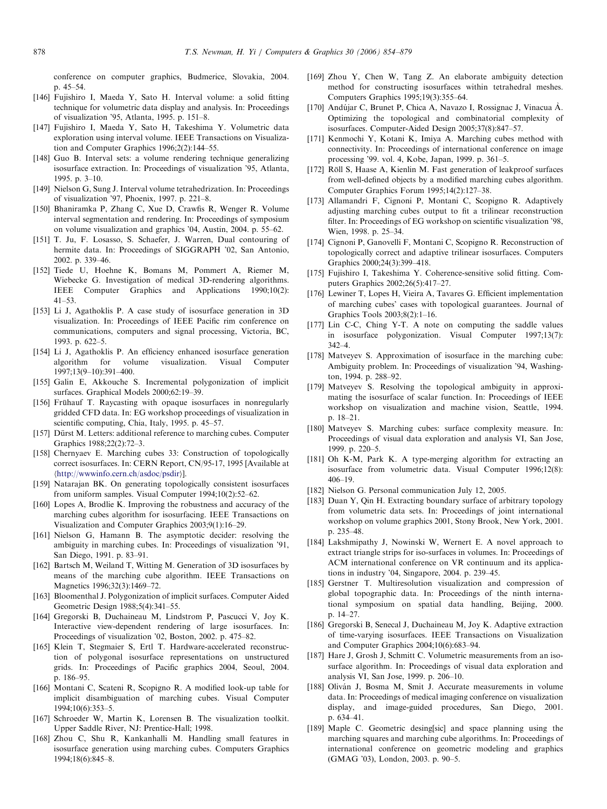<span id="page-24-0"></span>conference on computer graphics, Budmerice, Slovakia, 2004. p. 45–54.

- [146] Fujishiro I, Maeda Y, Sato H. Interval volume: a solid fitting technique for volumetric data display and analysis. In: Proceedings of visualization '95, Atlanta, 1995. p. 151–8.
- [147] Fujishiro I, Maeda Y, Sato H, Takeshima Y. Volumetric data exploration using interval volume. IEEE Transactions on Visualization and Computer Graphics 1996;2(2):144–55.
- [148] Guo B. Interval sets: a volume rendering technique generalizing isosurface extraction. In: Proceedings of visualization '95, Atlanta, 1995. p. 3–10.
- [149] Nielson G, Sung J. Interval volume tetrahedrization. In: Proceedings of visualization '97, Phoenix, 1997. p. 221–8.
- [150] Bhaniramka P, Zhang C, Xue D, Crawfis R, Wenger R. Volume interval segmentation and rendering. In: Proceedings of symposium on volume visualization and graphics '04, Austin, 2004. p. 55–62.
- [151] T. Ju, F. Losasso, S. Schaefer, J. Warren, Dual contouring of hermite data. In: Proceedings of SIGGRAPH '02, San Antonio, 2002. p. 339–46.
- [152] Tiede U, Hoehne K, Bomans M, Pommert A, Riemer M, Wiebecke G. Investigation of medical 3D-rendering algorithms. IEEE Computer Graphics and Applications 1990;10(2):  $41 - 53$ .
- [153] Li J, Agathoklis P. A case study of isosurface generation in 3D visualization. In: Proceedings of IEEE Pacific rim conference on communications, computers and signal processing, Victoria, BC, 1993. p. 622–5.
- [154] Li J, Agathoklis P. An efficiency enhanced isosurface generation algorithm for volume visualization. Visual Computer 1997;13(9–10):391–400.
- [155] Galin E, Akkouche S. Incremental polygonization of implicit surfaces. Graphical Models 2000;62:19–39.
- [156] Frühauf T. Raycasting with opaque isosurfaces in nonregularly gridded CFD data. In: EG workshop proceedings of visualization in scientific computing, Chia, Italy, 1995. p. 45–57.
- [157] Dürst M. Letters: additional reference to marching cubes. Computer Graphics 1988;22(2):72–3.
- [158] Chernyaev E. Marching cubes 33: Construction of topologically correct isosurfaces. In: CERN Report, CN/95-17, 1995 [Available at  $\langle$ <http://wwwinfo.cern.ch/asdoc/psdir> $\rangle$ ].
- [159] Natarajan BK. On generating topologically consistent isosurfaces from uniform samples. Visual Computer 1994;10(2):52–62.
- [160] Lopes A, Brodlie K. Improving the robustness and accuracy of the marching cubes algorithm for isosurfacing. IEEE Transactions on Visualization and Computer Graphics 2003;9(1):16–29.
- [161] Nielson G, Hamann B. The asymptotic decider: resolving the ambiguity in marching cubes. In: Proceedings of visualization '91, San Diego, 1991. p. 83–91.
- [162] Bartsch M, Weiland T, Witting M. Generation of 3D isosurfaces by means of the marching cube algorithm. IEEE Transactions on Magnetics 1996;32(3):1469–72.
- [163] Bloomenthal J. Polygonization of implicit surfaces. Computer Aided Geometric Design 1988;5(4):341–55.
- [164] Gregorski B, Duchaineau M, Lindstrom P, Pascucci V, Joy K. Interactive view-dependent rendering of large isosurfaces. In: Proceedings of visualization '02, Boston, 2002. p. 475–82.
- [165] Klein T, Stegmaier S, Ertl T. Hardware-accelerated reconstruction of polygonal isosurface representations on unstructured grids. In: Proceedings of Pacific graphics 2004, Seoul, 2004. p. 186–95.
- [166] Montani C, Scateni R, Scopigno R. A modified look-up table for implicit disambiguation of marching cubes. Visual Computer 1994;10(6):353–5.
- [167] Schroeder W, Martin K, Lorensen B. The visualization toolkit. Upper Saddle River, NJ: Prentice-Hall; 1998.
- [168] Zhou C, Shu R, Kankanhalli M. Handling small features in isosurface generation using marching cubes. Computers Graphics 1994;18(6):845–8.
- [169] Zhou Y, Chen W, Tang Z. An elaborate ambiguity detection method for constructing isosurfaces within tetrahedral meshes. Computers Graphics 1995;19(3):355–64.
- [170] Andújar C, Brunet P, Chica A, Navazo I, Rossignac J, Vinacua  $\dot{A}$ . Optimizing the topological and combinatorial complexity of isosurfaces. Computer-Aided Design 2005;37(8):847–57.
- [171] Kenmochi Y, Kotani K, Imiya A. Marching cubes method with connectivity. In: Proceedings of international conference on image processing '99. vol. 4, Kobe, Japan, 1999. p. 361–5.
- [172] Röll S, Haase A, Kienlin M. Fast generation of leakproof surfaces from well-defined objects by a modified marching cubes algorithm. Computer Graphics Forum 1995;14(2):127–38.
- [173] Allamandri F, Cignoni P, Montani C, Scopigno R. Adaptively adjusting marching cubes output to fit a trilinear reconstruction filter. In: Proceedings of EG workshop on scientific visualization '98, Wien, 1998. p. 25–34.
- [174] Cignoni P, Ganovelli F, Montani C, Scopigno R. Reconstruction of topologically correct and adaptive trilinear isosurfaces. Computers Graphics 2000;24(3):399–418.
- [175] Fujishiro I, Takeshima Y. Coherence-sensitive solid fitting. Computers Graphics 2002;26(5):417–27.
- [176] Lewiner T, Lopes H, Vieira A, Tavares G. Efficient implementation of marching cubes' cases with topological guarantees. Journal of Graphics Tools 2003;8(2):1–16.
- [177] Lin C-C, Ching Y-T. A note on computing the saddle values in isosurface polygonization. Visual Computer 1997;13(7): 342–4.
- [178] Matveyev S. Approximation of isosurface in the marching cube: Ambiguity problem. In: Proceedings of visualization '94, Washington, 1994. p. 288–92.
- [179] Matveyev S. Resolving the topological ambiguity in approximating the isosurface of scalar function. In: Proceedings of IEEE workshop on visualization and machine vision, Seattle, 1994. p. 18–21.
- [180] Matveyev S. Marching cubes: surface complexity measure. In: Proceedings of visual data exploration and analysis VI, San Jose, 1999. p. 220–5.
- [181] Oh K-M, Park K. A type-merging algorithm for extracting an isosurface from volumetric data. Visual Computer 1996;12(8): 406–19.
- [182] Nielson G. Personal communication July 12, 2005.
- [183] Duan Y, Qin H. Extracting boundary surface of arbitrary topology from volumetric data sets. In: Proceedings of joint international workshop on volume graphics 2001, Stony Brook, New York, 2001. p. 235–48.
- [184] Lakshmipathy J, Nowinski W, Wernert E. A novel approach to extract triangle strips for iso-surfaces in volumes. In: Proceedings of ACM international conference on VR continuum and its applications in industry '04, Singapore, 2004. p. 239–45.
- [185] Gerstner T. Multiresolution visualization and compression of global topographic data. In: Proceedings of the ninth international symposium on spatial data handling, Beijing, 2000. p. 14–27.
- [186] Gregorski B, Senecal J, Duchaineau M, Joy K. Adaptive extraction of time-varying isosurfaces. IEEE Transactions on Visualization and Computer Graphics 2004;10(6):683–94.
- [187] Hare J, Grosh J, Schmitt C. Volumetric measurements from an isosurface algorithm. In: Proceedings of visual data exploration and analysis VI, San Jose, 1999. p. 206–10.
- [188] Oliván J, Bosma M, Smit J. Accurate measurements in volume data. In: Proceedings of medical imaging conference on visualization display, and image-guided procedures, San Diego, 2001. p. 634–41.
- [189] Maple C. Geometric desing[sic] and space planning using the marching squares and marching cube algorithms. In: Proceedings of international conference on geometric modeling and graphics (GMAG '03), London, 2003. p. 90–5.